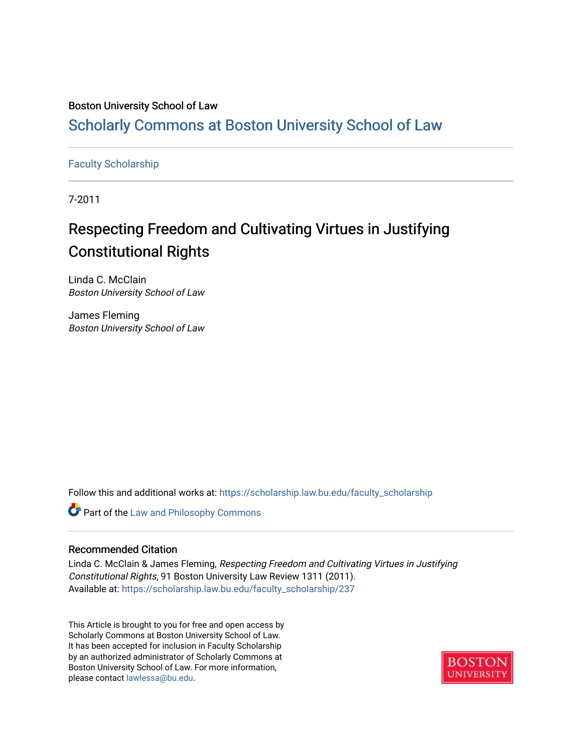## Boston University School of Law

## [Scholarly Commons at Boston University School of Law](https://scholarship.law.bu.edu/)

### [Faculty Scholarship](https://scholarship.law.bu.edu/faculty_scholarship)

7-2011

# Respecting Freedom and Cultivating Virtues in Justifying Constitutional Rights

Linda C. McClain Boston University School of Law

James Fleming Boston University School of Law

Follow this and additional works at: [https://scholarship.law.bu.edu/faculty\\_scholarship](https://scholarship.law.bu.edu/faculty_scholarship?utm_source=scholarship.law.bu.edu%2Ffaculty_scholarship%2F237&utm_medium=PDF&utm_campaign=PDFCoverPages)

**Part of the Law and Philosophy Commons** 

#### Recommended Citation

Linda C. McClain & James Fleming, Respecting Freedom and Cultivating Virtues in Justifying Constitutional Rights, 91 Boston University Law Review 1311 (2011). Available at: [https://scholarship.law.bu.edu/faculty\\_scholarship/237](https://scholarship.law.bu.edu/faculty_scholarship/237?utm_source=scholarship.law.bu.edu%2Ffaculty_scholarship%2F237&utm_medium=PDF&utm_campaign=PDFCoverPages) 

This Article is brought to you for free and open access by Scholarly Commons at Boston University School of Law. It has been accepted for inclusion in Faculty Scholarship by an authorized administrator of Scholarly Commons at Boston University School of Law. For more information, please contact [lawlessa@bu.edu](mailto:lawlessa@bu.edu).

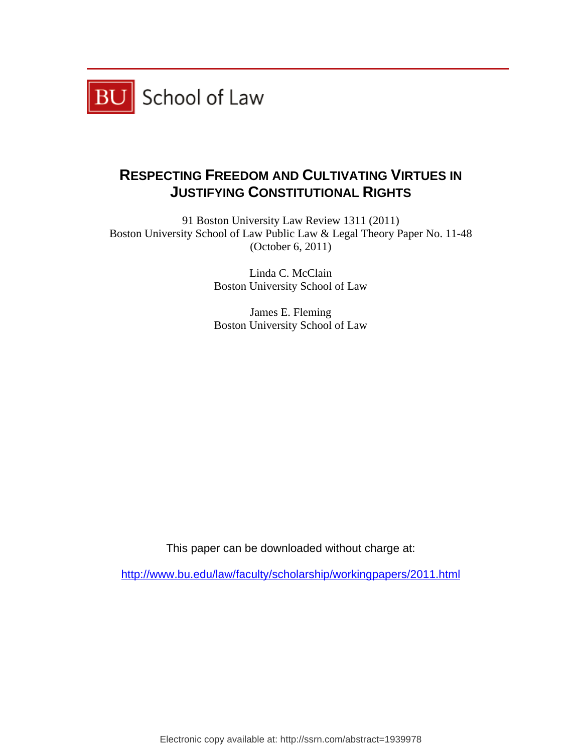

## **RESPECTING FREEDOM AND CULTIVATING VIRTUES IN JUSTIFYING CONSTITUTIONAL RIGHTS**

91 Boston University Law Review 1311 (2011) Boston University School of Law Public Law & Legal Theory Paper No. 11-48 (October 6, 2011)

> Linda C. McClain Boston University School of Law

> James E. Fleming Boston University School of Law

This paper can be downloaded without charge at:

http://www.bu.edu/law/faculty/scholarship/workingpapers/2011.html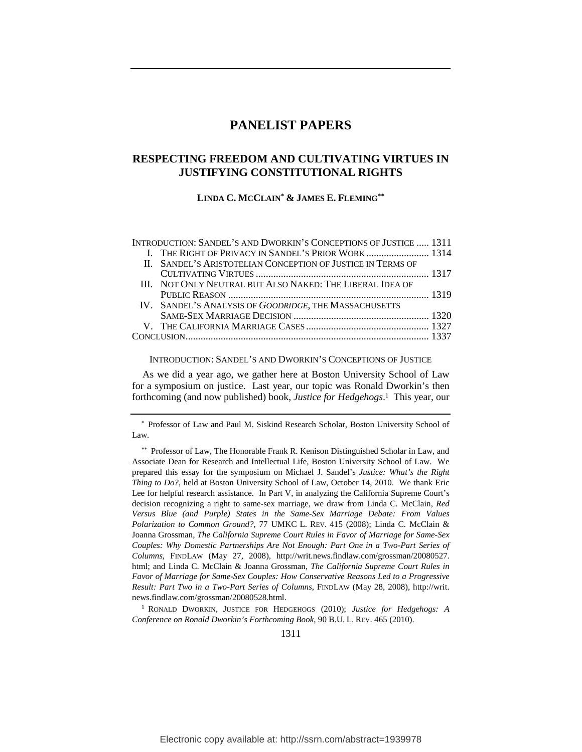## **PANELIST PAPERS**

## **RESPECTING FREEDOM AND CULTIVATING VIRTUES IN JUSTIFYING CONSTITUTIONAL RIGHTS**

**LINDA C. MCCLAIN\* & JAMES E. FLEMING\*\***

| INTRODUCTION: SANDEL'S AND DWORKIN'S CONCEPTIONS OF JUSTICE  1311 |  |
|-------------------------------------------------------------------|--|
|                                                                   |  |
| II. SANDEL'S ARISTOTELIAN CONCEPTION OF JUSTICE IN TERMS OF       |  |
|                                                                   |  |
| III. NOT ONLY NEUTRAL BUT ALSO NAKED: THE LIBERAL IDEA OF         |  |
|                                                                   |  |
| IV. SANDEL'S ANALYSIS OF GOODRIDGE, THE MASSACHUSETTS             |  |
|                                                                   |  |
|                                                                   |  |
|                                                                   |  |
|                                                                   |  |

INTRODUCTION: SANDEL'S AND DWORKIN'S CONCEPTIONS OF JUSTICE

As we did a year ago, we gather here at Boston University School of Law for a symposium on justice. Last year, our topic was Ronald Dworkin's then forthcoming (and now published) book, *Justice for Hedgehogs*. 1 This year, our

<sup>\*</sup> Professor of Law and Paul M. Siskind Research Scholar, Boston University School of Law.

<sup>\*\*</sup> Professor of Law, The Honorable Frank R. Kenison Distinguished Scholar in Law, and Associate Dean for Research and Intellectual Life, Boston University School of Law. We prepared this essay for the symposium on Michael J. Sandel's *Justice: What's the Right Thing to Do?*, held at Boston University School of Law, October 14, 2010. We thank Eric Lee for helpful research assistance. In Part V, in analyzing the California Supreme Court's decision recognizing a right to same-sex marriage, we draw from Linda C. McClain, *Red Versus Blue (and Purple) States in the Same-Sex Marriage Debate: From Values Polarization to Common Ground?*, 77 UMKC L. REV. 415 (2008); Linda C. McClain & Joanna Grossman, *The California Supreme Court Rules in Favor of Marriage for Same-Sex Couples: Why Domestic Partnerships Are Not Enough: Part One in a Two-Part Series of Columns*, FINDLAW (May 27, 2008), http://writ.news.findlaw.com/grossman/20080527. html; and Linda C. McClain & Joanna Grossman, *The California Supreme Court Rules in Favor of Marriage for Same-Sex Couples: How Conservative Reasons Led to a Progressive Result: Part Two in a Two-Part Series of Columns*, FINDLAW (May 28, 2008), http://writ. news.findlaw.com/grossman/20080528.html.

<sup>1</sup> RONALD DWORKIN, JUSTICE FOR HEDGEHOGS (2010); *Justice for Hedgehogs: A Conference on Ronald Dworkin's Forthcoming Book*, 90 B.U. L. REV. 465 (2010).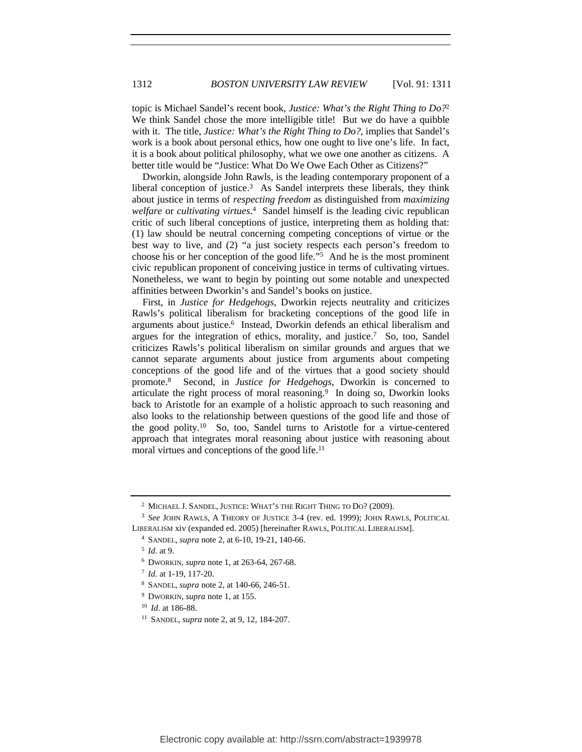#### 1312 *BOSTON UNIVERSITY LAW REVIEW* [Vol. 91: 1311

topic is Michael Sandel's recent book, *Justice: What's the Right Thing to Do?*2 We think Sandel chose the more intelligible title! But we do have a quibble with it. The title, *Justice: What's the Right Thing to Do?*, implies that Sandel's work is a book about personal ethics, how one ought to live one's life. In fact, it is a book about political philosophy, what we owe one another as citizens. A better title would be "Justice: What Do We Owe Each Other as Citizens?"

Dworkin, alongside John Rawls, is the leading contemporary proponent of a liberal conception of justice.3 As Sandel interprets these liberals, they think about justice in terms of *respecting freedom* as distinguished from *maximizing welfare* or *cultivating virtues*. 4 Sandel himself is the leading civic republican critic of such liberal conceptions of justice, interpreting them as holding that: (1) law should be neutral concerning competing conceptions of virtue or the best way to live, and (2) "a just society respects each person's freedom to choose his or her conception of the good life." $\frac{5}{10}$  And he is the most prominent civic republican proponent of conceiving justice in terms of cultivating virtues. Nonetheless, we want to begin by pointing out some notable and unexpected affinities between Dworkin's and Sandel's books on justice.

First, in *Justice for Hedgehogs*, Dworkin rejects neutrality and criticizes Rawls's political liberalism for bracketing conceptions of the good life in arguments about justice.6 Instead, Dworkin defends an ethical liberalism and argues for the integration of ethics, morality, and justice.7 So, too, Sandel criticizes Rawls's political liberalism on similar grounds and argues that we cannot separate arguments about justice from arguments about competing conceptions of the good life and of the virtues that a good society should promote.8 Second, in *Justice for Hedgehogs*, Dworkin is concerned to articulate the right process of moral reasoning.<sup>9</sup> In doing so, Dworkin looks back to Aristotle for an example of a holistic approach to such reasoning and also looks to the relationship between questions of the good life and those of the good polity.10 So, too, Sandel turns to Aristotle for a virtue-centered approach that integrates moral reasoning about justice with reasoning about moral virtues and conceptions of the good life.<sup>11</sup>

<sup>2</sup> MICHAEL J. SANDEL, JUSTICE: WHAT'S THE RIGHT THING TO DO? (2009).

<sup>3</sup> *See* JOHN RAWLS, A THEORY OF JUSTICE 3-4 (rev. ed. 1999); JOHN RAWLS, POLITICAL LIBERALISM xiv (expanded ed. 2005) [hereinafter RAWLS, POLITICAL LIBERALISM].

<sup>4</sup> SANDEL, *supra* note 2, at 6-10, 19-21, 140-66.

<sup>5</sup> *Id.* at 9.

<sup>6</sup> DWORKIN, *supra* note 1, at 263-64, 267-68.

<sup>7</sup> *Id.* at 1-19, 117-20.

<sup>8</sup> SANDEL, *supra* note 2, at 140-66, 246-51.

<sup>9</sup> DWORKIN, *supra* note 1, at 155.

<sup>10</sup> *Id.* at 186-88.

<sup>11</sup> SANDEL, *supra* note 2, at 9, 12, 184-207.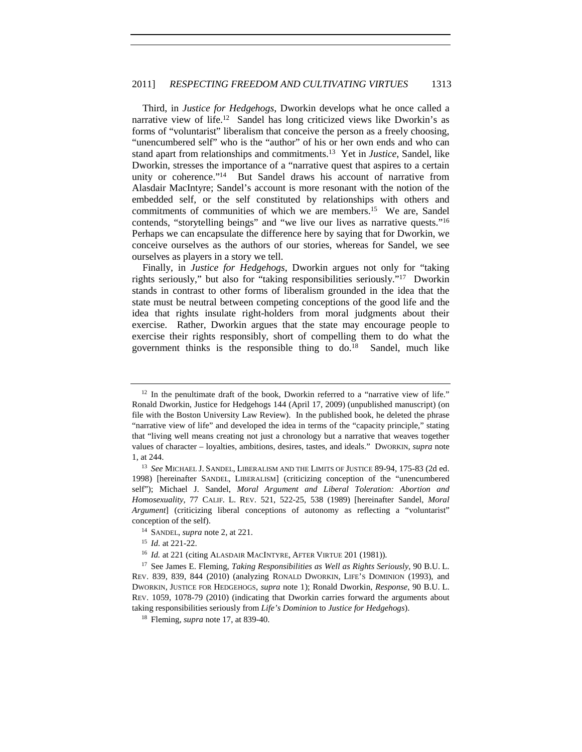Third, in *Justice for Hedgehogs*, Dworkin develops what he once called a narrative view of life.<sup>12</sup> Sandel has long criticized views like Dworkin's as forms of "voluntarist" liberalism that conceive the person as a freely choosing, "unencumbered self" who is the "author" of his or her own ends and who can stand apart from relationships and commitments.13 Yet in *Justice*, Sandel, like Dworkin, stresses the importance of a "narrative quest that aspires to a certain unity or coherence."14 But Sandel draws his account of narrative from Alasdair MacIntyre; Sandel's account is more resonant with the notion of the embedded self, or the self constituted by relationships with others and commitments of communities of which we are members.15 We are, Sandel contends, "storytelling beings" and "we live our lives as narrative quests."16 Perhaps we can encapsulate the difference here by saying that for Dworkin, we conceive ourselves as the authors of our stories, whereas for Sandel, we see ourselves as players in a story we tell.

Finally, in *Justice for Hedgehogs*, Dworkin argues not only for "taking rights seriously," but also for "taking responsibilities seriously."17 Dworkin stands in contrast to other forms of liberalism grounded in the idea that the state must be neutral between competing conceptions of the good life and the idea that rights insulate right-holders from moral judgments about their exercise. Rather, Dworkin argues that the state may encourage people to exercise their rights responsibly, short of compelling them to do what the government thinks is the responsible thing to do.18 Sandel, much like

 $12$  In the penultimate draft of the book, Dworkin referred to a "narrative view of life." Ronald Dworkin, Justice for Hedgehogs 144 (April 17, 2009) (unpublished manuscript) (on file with the Boston University Law Review). In the published book, he deleted the phrase "narrative view of life" and developed the idea in terms of the "capacity principle," stating that "living well means creating not just a chronology but a narrative that weaves together values of character – loyalties, ambitions, desires, tastes, and ideals." DWORKIN, *supra* note 1, at 244. 13 *See* MICHAEL J. SANDEL, LIBERALISM AND THE LIMITS OF JUSTICE 89-94, 175-83 (2d ed.

<sup>1998) [</sup>hereinafter SANDEL, LIBERALISM] (criticizing conception of the "unencumbered self"); Michael J. Sandel, *Moral Argument and Liberal Toleration: Abortion and Homosexuality*, 77 CALIF. L. REV. 521, 522-25, 538 (1989) [hereinafter Sandel, *Moral Argument*] (criticizing liberal conceptions of autonomy as reflecting a "voluntarist" conception of the self).

<sup>14</sup> SANDEL, *supra* note 2, at 221.

<sup>15</sup> *Id.* at 221-22.

<sup>&</sup>lt;sup>16</sup> *Id.* at 221 (citing ALASDAIR MACINTYRE, AFTER VIRTUE 201 (1981)).

<sup>17</sup> See James E. Fleming, *Taking Responsibilities as Well as Rights Seriously*, 90 B.U. L. REV. 839, 839, 844 (2010) (analyzing RONALD DWORKIN, LIFE'S DOMINION (1993), and DWORKIN, JUSTICE FOR HEDGEHOGS, *supra* note 1); Ronald Dworkin, *Response*, 90 B.U. L. REV. 1059, 1078-79 (2010) (indicating that Dworkin carries forward the arguments about taking responsibilities seriously from *Life's Dominion* to *Justice for Hedgehogs*). 18 Fleming, *supra* note 17, at 839-40.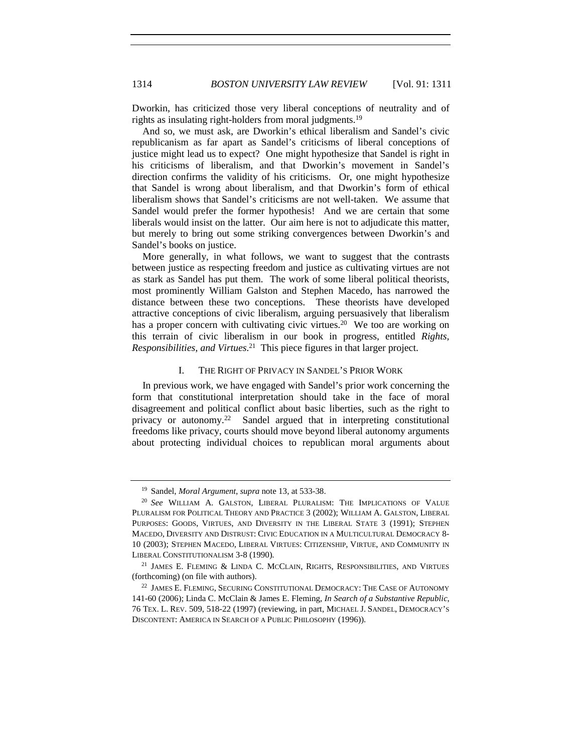Dworkin, has criticized those very liberal conceptions of neutrality and of rights as insulating right-holders from moral judgments.19

And so, we must ask, are Dworkin's ethical liberalism and Sandel's civic republicanism as far apart as Sandel's criticisms of liberal conceptions of justice might lead us to expect? One might hypothesize that Sandel is right in his criticisms of liberalism, and that Dworkin's movement in Sandel's direction confirms the validity of his criticisms. Or, one might hypothesize that Sandel is wrong about liberalism, and that Dworkin's form of ethical liberalism shows that Sandel's criticisms are not well-taken. We assume that Sandel would prefer the former hypothesis! And we are certain that some liberals would insist on the latter. Our aim here is not to adjudicate this matter, but merely to bring out some striking convergences between Dworkin's and Sandel's books on justice.

More generally, in what follows, we want to suggest that the contrasts between justice as respecting freedom and justice as cultivating virtues are not as stark as Sandel has put them. The work of some liberal political theorists, most prominently William Galston and Stephen Macedo, has narrowed the distance between these two conceptions. These theorists have developed attractive conceptions of civic liberalism, arguing persuasively that liberalism has a proper concern with cultivating civic virtues.<sup>20</sup> We too are working on this terrain of civic liberalism in our book in progress, entitled *Rights, Responsibilities, and Virtues*. 21 This piece figures in that larger project.

#### I. THE RIGHT OF PRIVACY IN SANDEL'S PRIOR WORK

In previous work, we have engaged with Sandel's prior work concerning the form that constitutional interpretation should take in the face of moral disagreement and political conflict about basic liberties, such as the right to privacy or autonomy.22 Sandel argued that in interpreting constitutional freedoms like privacy, courts should move beyond liberal autonomy arguments about protecting individual choices to republican moral arguments about

<sup>&</sup>lt;sup>19</sup> Sandel, *Moral Argument*, *supra* note 13, at 533-38.<br><sup>20</sup> *See* WILLIAM A. GALSTON, LIBERAL PLURALISM: THE IMPLICATIONS OF VALUE PLURALISM FOR POLITICAL THEORY AND PRACTICE 3 (2002); WILLIAM A. GALSTON, LIBERAL PURPOSES: GOODS, VIRTUES, AND DIVERSITY IN THE LIBERAL STATE 3 (1991); STEPHEN MACEDO, DIVERSITY AND DISTRUST: CIVIC EDUCATION IN A MULTICULTURAL DEMOCRACY 8- 10 (2003); STEPHEN MACEDO, LIBERAL VIRTUES: CITIZENSHIP, VIRTUE, AND COMMUNITY IN LIBERAL CONSTITUTIONALISM 3-8 (1990).

<sup>&</sup>lt;sup>21</sup> JAMES E. FLEMING & LINDA C. MCCLAIN, RIGHTS, RESPONSIBILITIES, AND VIRTUES (forthcoming) (on file with authors).

<sup>22</sup> JAMES E. FLEMING, SECURING CONSTITUTIONAL DEMOCRACY: THE CASE OF AUTONOMY 141-60 (2006); Linda C. McClain & James E. Fleming, *In Search of a Substantive Republic*, 76 TEX. L. REV. 509, 518-22 (1997) (reviewing, in part, MICHAEL J. SANDEL, DEMOCRACY'S DISCONTENT: AMERICA IN SEARCH OF A PUBLIC PHILOSOPHY (1996)).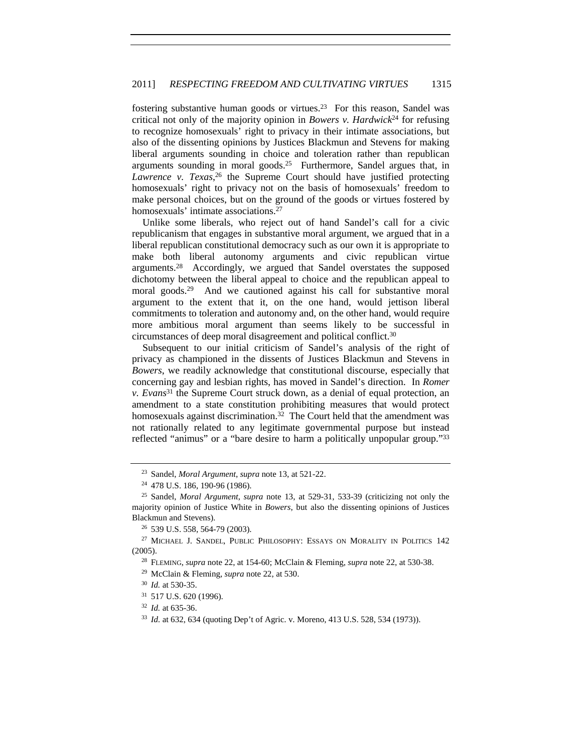fostering substantive human goods or virtues.23 For this reason, Sandel was critical not only of the majority opinion in *Bowers v. Hardwick*24 for refusing to recognize homosexuals' right to privacy in their intimate associations, but also of the dissenting opinions by Justices Blackmun and Stevens for making liberal arguments sounding in choice and toleration rather than republican arguments sounding in moral goods.25 Furthermore, Sandel argues that, in Lawrence v. Texas,<sup>26</sup> the Supreme Court should have justified protecting homosexuals' right to privacy not on the basis of homosexuals' freedom to make personal choices, but on the ground of the goods or virtues fostered by homosexuals' intimate associations.<sup>27</sup>

Unlike some liberals, who reject out of hand Sandel's call for a civic republicanism that engages in substantive moral argument, we argued that in a liberal republican constitutional democracy such as our own it is appropriate to make both liberal autonomy arguments and civic republican virtue arguments.28 Accordingly, we argued that Sandel overstates the supposed dichotomy between the liberal appeal to choice and the republican appeal to moral goods.29 And we cautioned against his call for substantive moral argument to the extent that it, on the one hand, would jettison liberal commitments to toleration and autonomy and, on the other hand, would require more ambitious moral argument than seems likely to be successful in circumstances of deep moral disagreement and political conflict.30

Subsequent to our initial criticism of Sandel's analysis of the right of privacy as championed in the dissents of Justices Blackmun and Stevens in *Bowers*, we readily acknowledge that constitutional discourse, especially that concerning gay and lesbian rights, has moved in Sandel's direction. In *Romer v. Evans*31 the Supreme Court struck down, as a denial of equal protection, an amendment to a state constitution prohibiting measures that would protect homosexuals against discrimination.<sup>32</sup> The Court held that the amendment was not rationally related to any legitimate governmental purpose but instead reflected "animus" or a "bare desire to harm a politically unpopular group."33

<sup>23</sup> Sandel, *Moral Argument*, *supra* note 13, at 521-22. 24 478 U.S. 186, 190-96 (1986).

<sup>25</sup> Sandel, *Moral Argument*, *supra* note 13, at 529-31, 533-39 (criticizing not only the majority opinion of Justice White in *Bowers*, but also the dissenting opinions of Justices Blackmun and Stevens).

<sup>26</sup> 539 U.S. 558, 564-79 (2003).

<sup>&</sup>lt;sup>27</sup> MICHAEL J. SANDEL, PUBLIC PHILOSOPHY: ESSAYS ON MORALITY IN POLITICS 142 (2005).

<sup>28</sup> FLEMING, *supra* note 22, at 154-60; McClain & Fleming, *supra* note 22, at 530-38.

<sup>29</sup> McClain & Fleming, *supra* note 22, at 530.

<sup>30</sup> *Id.* at 530-35.

<sup>31</sup> 517 U.S. 620 (1996).

<sup>32</sup> *Id.* at 635-36.

<sup>33</sup> *Id.* at 632, 634 (quoting Dep't of Agric. v. Moreno, 413 U.S. 528, 534 (1973)).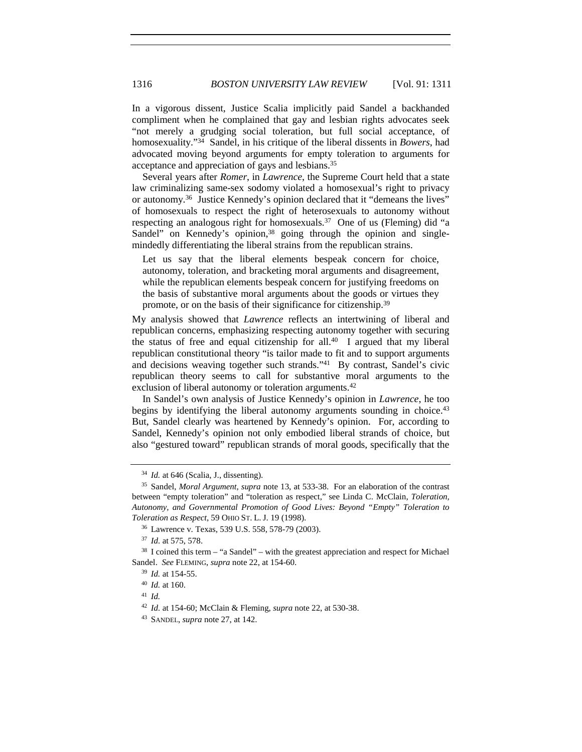In a vigorous dissent, Justice Scalia implicitly paid Sandel a backhanded compliment when he complained that gay and lesbian rights advocates seek "not merely a grudging social toleration, but full social acceptance, of homosexuality."34 Sandel, in his critique of the liberal dissents in *Bowers*, had advocated moving beyond arguments for empty toleration to arguments for acceptance and appreciation of gays and lesbians.35

Several years after *Romer*, in *Lawrence*, the Supreme Court held that a state law criminalizing same-sex sodomy violated a homosexual's right to privacy or autonomy.36 Justice Kennedy's opinion declared that it "demeans the lives" of homosexuals to respect the right of heterosexuals to autonomy without respecting an analogous right for homosexuals.<sup>37</sup> One of us (Fleming) did "a Sandel" on Kennedy's opinion,<sup>38</sup> going through the opinion and singlemindedly differentiating the liberal strains from the republican strains.

Let us say that the liberal elements bespeak concern for choice, autonomy, toleration, and bracketing moral arguments and disagreement, while the republican elements bespeak concern for justifying freedoms on the basis of substantive moral arguments about the goods or virtues they promote, or on the basis of their significance for citizenship.39

My analysis showed that *Lawrence* reflects an intertwining of liberal and republican concerns, emphasizing respecting autonomy together with securing the status of free and equal citizenship for all.40 I argued that my liberal republican constitutional theory "is tailor made to fit and to support arguments and decisions weaving together such strands."41 By contrast, Sandel's civic republican theory seems to call for substantive moral arguments to the exclusion of liberal autonomy or toleration arguments.<sup>42</sup>

In Sandel's own analysis of Justice Kennedy's opinion in *Lawrence*, he too begins by identifying the liberal autonomy arguments sounding in choice.<sup>43</sup> But, Sandel clearly was heartened by Kennedy's opinion. For, according to Sandel, Kennedy's opinion not only embodied liberal strands of choice, but also "gestured toward" republican strands of moral goods, specifically that the

<sup>34</sup> *Id.* at 646 (Scalia, J., dissenting).

<sup>35</sup> Sandel, *Moral Argument*, *supra* note 13, at 533-38. For an elaboration of the contrast between "empty toleration" and "toleration as respect," see Linda C. McClain, *Toleration, Autonomy, and Governmental Promotion of Good Lives: Beyond "Empty" Toleration to Toleration as Respect*, 59 OHIO ST. L. J. 19 (1998).

<sup>36</sup> Lawrence v. Texas, 539 U.S. 558, 578-79 (2003).

<sup>&</sup>lt;sup>37</sup> *Id.* at 575, 578.<br><sup>38</sup> I coined this term – "a Sandel" – with the greatest appreciation and respect for Michael Sandel. *See* FLEMING, *supra* note 22, at 154-60.

<sup>39</sup> *Id.* at 154-55.

<sup>40</sup> *Id.* at 160.

<sup>41</sup> *Id.*

<sup>42</sup> *Id.* at 154-60; McClain & Fleming, *supra* note 22, at 530-38.

<sup>43</sup> SANDEL, *supra* note 27, at 142.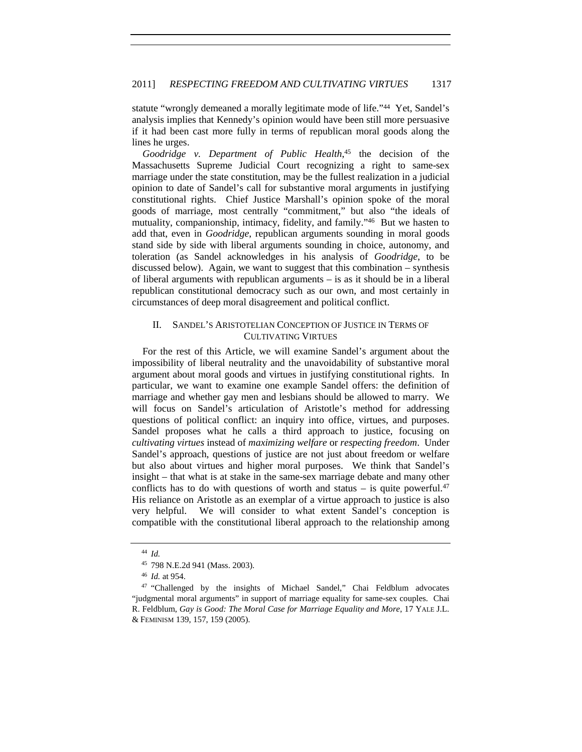statute "wrongly demeaned a morally legitimate mode of life."44 Yet, Sandel's analysis implies that Kennedy's opinion would have been still more persuasive if it had been cast more fully in terms of republican moral goods along the lines he urges.

*Goodridge v. Department of Public Health*, 45 the decision of the Massachusetts Supreme Judicial Court recognizing a right to same-sex marriage under the state constitution, may be the fullest realization in a judicial opinion to date of Sandel's call for substantive moral arguments in justifying constitutional rights. Chief Justice Marshall's opinion spoke of the moral goods of marriage, most centrally "commitment," but also "the ideals of mutuality, companionship, intimacy, fidelity, and family."46 But we hasten to add that, even in *Goodridge*, republican arguments sounding in moral goods stand side by side with liberal arguments sounding in choice, autonomy, and toleration (as Sandel acknowledges in his analysis of *Goodridge*, to be discussed below). Again, we want to suggest that this combination – synthesis of liberal arguments with republican arguments – is as it should be in a liberal republican constitutional democracy such as our own, and most certainly in circumstances of deep moral disagreement and political conflict.

#### II. SANDEL'S ARISTOTELIAN CONCEPTION OF JUSTICE IN TERMS OF CULTIVATING VIRTUES

For the rest of this Article, we will examine Sandel's argument about the impossibility of liberal neutrality and the unavoidability of substantive moral argument about moral goods and virtues in justifying constitutional rights. In particular, we want to examine one example Sandel offers: the definition of marriage and whether gay men and lesbians should be allowed to marry. We will focus on Sandel's articulation of Aristotle's method for addressing questions of political conflict: an inquiry into office, virtues, and purposes. Sandel proposes what he calls a third approach to justice, focusing on *cultivating virtues* instead of *maximizing welfare* or *respecting freedom*. Under Sandel's approach, questions of justice are not just about freedom or welfare but also about virtues and higher moral purposes. We think that Sandel's insight – that what is at stake in the same-sex marriage debate and many other conflicts has to do with questions of worth and status – is quite powerful.<sup>47</sup> His reliance on Aristotle as an exemplar of a virtue approach to justice is also very helpful. We will consider to what extent Sandel's conception is compatible with the constitutional liberal approach to the relationship among

<sup>44</sup> *Id.*

<sup>45</sup> 798 N.E.2d 941 (Mass. 2003).

<sup>46</sup> *Id.* at 954.

<sup>47</sup> "Challenged by the insights of Michael Sandel," Chai Feldblum advocates "judgmental moral arguments" in support of marriage equality for same-sex couples. Chai R. Feldblum, *Gay is Good: The Moral Case for Marriage Equality and More*, 17 YALE J.L. & FEMINISM 139, 157, 159 (2005).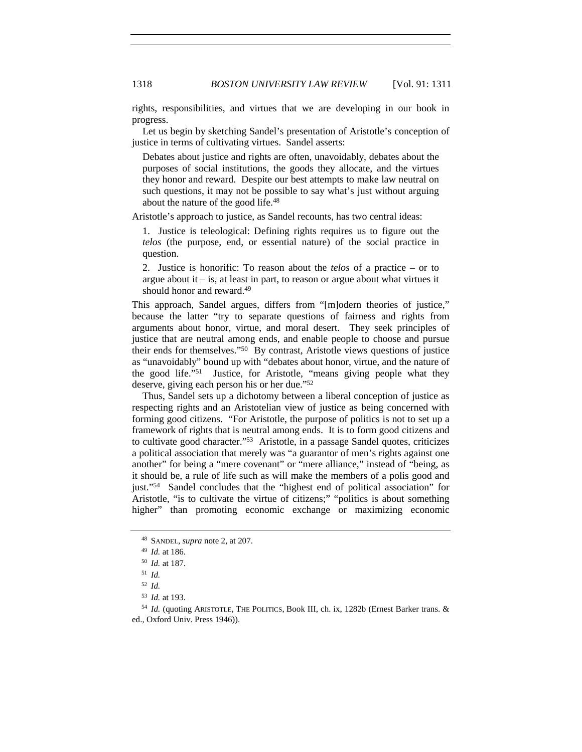rights, responsibilities, and virtues that we are developing in our book in progress.

Let us begin by sketching Sandel's presentation of Aristotle's conception of justice in terms of cultivating virtues. Sandel asserts:

Debates about justice and rights are often, unavoidably, debates about the purposes of social institutions, the goods they allocate, and the virtues they honor and reward. Despite our best attempts to make law neutral on such questions, it may not be possible to say what's just without arguing about the nature of the good life.48

Aristotle's approach to justice, as Sandel recounts, has two central ideas:

1. Justice is teleological: Defining rights requires us to figure out the *telos* (the purpose, end, or essential nature) of the social practice in question.

2. Justice is honorific: To reason about the *telos* of a practice – or to argue about it  $-$  is, at least in part, to reason or argue about what virtues it should honor and reward.49

This approach, Sandel argues, differs from "[m]odern theories of justice," because the latter "try to separate questions of fairness and rights from arguments about honor, virtue, and moral desert. They seek principles of justice that are neutral among ends, and enable people to choose and pursue their ends for themselves."50 By contrast, Aristotle views questions of justice as "unavoidably" bound up with "debates about honor, virtue, and the nature of the good life."51 Justice, for Aristotle, "means giving people what they deserve, giving each person his or her due."52

Thus, Sandel sets up a dichotomy between a liberal conception of justice as respecting rights and an Aristotelian view of justice as being concerned with forming good citizens. "For Aristotle, the purpose of politics is not to set up a framework of rights that is neutral among ends. It is to form good citizens and to cultivate good character."53 Aristotle, in a passage Sandel quotes, criticizes a political association that merely was "a guarantor of men's rights against one another" for being a "mere covenant" or "mere alliance," instead of "being, as it should be, a rule of life such as will make the members of a polis good and just."54 Sandel concludes that the "highest end of political association" for Aristotle, "is to cultivate the virtue of citizens;" "politics is about something higher" than promoting economic exchange or maximizing economic

<sup>48</sup> SANDEL, *supra* note 2, at 207. 49 *Id.* at 186.

<sup>50</sup> *Id.* at 187.

<sup>51</sup> *Id.*

<sup>52</sup> *Id.*

<sup>53</sup> *Id.* at 193.<br><sup>54</sup> *Id.* (quoting ARISTOTLE, THE POLITICS, Book III, ch. ix, 1282b (Ernest Barker trans. & ed., Oxford Univ. Press 1946)).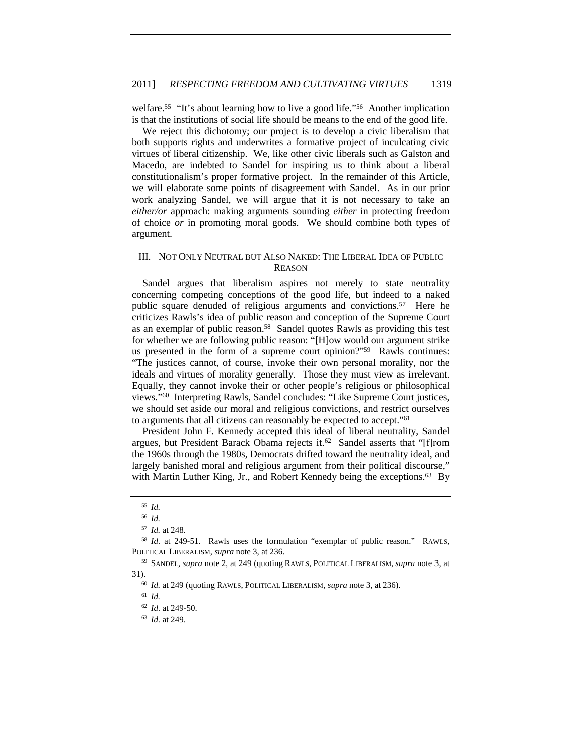welfare.<sup>55</sup> "It's about learning how to live a good life."<sup>56</sup> Another implication is that the institutions of social life should be means to the end of the good life.

We reject this dichotomy; our project is to develop a civic liberalism that both supports rights and underwrites a formative project of inculcating civic virtues of liberal citizenship. We, like other civic liberals such as Galston and Macedo, are indebted to Sandel for inspiring us to think about a liberal constitutionalism's proper formative project. In the remainder of this Article, we will elaborate some points of disagreement with Sandel. As in our prior work analyzing Sandel, we will argue that it is not necessary to take an *either/or* approach: making arguments sounding *either* in protecting freedom of choice *or* in promoting moral goods. We should combine both types of argument.

#### III. NOT ONLY NEUTRAL BUT ALSO NAKED: THE LIBERAL IDEA OF PUBLIC REASON

Sandel argues that liberalism aspires not merely to state neutrality concerning competing conceptions of the good life, but indeed to a naked public square denuded of religious arguments and convictions.57 Here he criticizes Rawls's idea of public reason and conception of the Supreme Court as an exemplar of public reason.58 Sandel quotes Rawls as providing this test for whether we are following public reason: "[H]ow would our argument strike us presented in the form of a supreme court opinion?"<sup>59</sup> Rawls continues: "The justices cannot, of course, invoke their own personal morality, nor the ideals and virtues of morality generally. Those they must view as irrelevant. Equally, they cannot invoke their or other people's religious or philosophical views."60 Interpreting Rawls, Sandel concludes: "Like Supreme Court justices, we should set aside our moral and religious convictions, and restrict ourselves to arguments that all citizens can reasonably be expected to accept."61

President John F. Kennedy accepted this ideal of liberal neutrality, Sandel argues, but President Barack Obama rejects it.<sup>62</sup> Sandel asserts that "[f]rom the 1960s through the 1980s, Democrats drifted toward the neutrality ideal, and largely banished moral and religious argument from their political discourse," with Martin Luther King, Jr., and Robert Kennedy being the exceptions.<sup>63</sup> By

<sup>55</sup> *Id.*

<sup>56</sup> *Id.*

<sup>57</sup> *Id.* at 248.

<sup>58</sup> *Id.* at 249-51. Rawls uses the formulation "exemplar of public reason." RAWLS, POLITICAL LIBERALISM, *supra* note 3, at 236.

<sup>59</sup> SANDEL, *supra* note 2, at 249 (quoting RAWLS, POLITICAL LIBERALISM, *supra* note 3, at 31).

<sup>60</sup> *Id.* at 249 (quoting RAWLS, POLITICAL LIBERALISM, *supra* note 3, at 236).

<sup>61</sup> *Id.*

<sup>62</sup> *Id.* at 249-50.

<sup>63</sup> *Id.* at 249.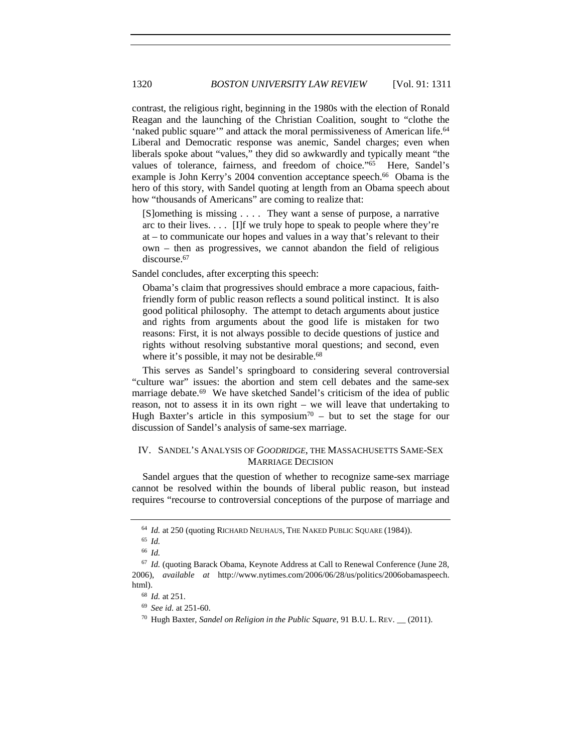contrast, the religious right, beginning in the 1980s with the election of Ronald Reagan and the launching of the Christian Coalition, sought to "clothe the 'naked public square'" and attack the moral permissiveness of American life.64 Liberal and Democratic response was anemic, Sandel charges; even when liberals spoke about "values," they did so awkwardly and typically meant "the values of tolerance, fairness, and freedom of choice."<sup>65</sup> Here, Sandel's example is John Kerry's 2004 convention acceptance speech.<sup>66</sup> Obama is the hero of this story, with Sandel quoting at length from an Obama speech about how "thousands of Americans" are coming to realize that:

[S]omething is missing . . . . They want a sense of purpose, a narrative arc to their lives.  $\ldots$  [I]f we truly hope to speak to people where they're at – to communicate our hopes and values in a way that's relevant to their own – then as progressives, we cannot abandon the field of religious discourse.<sup>67</sup>

Sandel concludes, after excerpting this speech:

Obama's claim that progressives should embrace a more capacious, faithfriendly form of public reason reflects a sound political instinct. It is also good political philosophy. The attempt to detach arguments about justice and rights from arguments about the good life is mistaken for two reasons: First, it is not always possible to decide questions of justice and rights without resolving substantive moral questions; and second, even where it's possible, it may not be desirable.<sup>68</sup>

This serves as Sandel's springboard to considering several controversial "culture war" issues: the abortion and stem cell debates and the same-sex marriage debate.<sup>69</sup> We have sketched Sandel's criticism of the idea of public reason, not to assess it in its own right – we will leave that undertaking to Hugh Baxter's article in this symposium<sup>70</sup> – but to set the stage for our discussion of Sandel's analysis of same-sex marriage.

#### IV. SANDEL'S ANALYSIS OF *GOODRIDGE*, THE MASSACHUSETTS SAME-SEX MARRIAGE DECISION

Sandel argues that the question of whether to recognize same-sex marriage cannot be resolved within the bounds of liberal public reason, but instead requires "recourse to controversial conceptions of the purpose of marriage and

<sup>69</sup> *See id.* at 251-60.

<sup>&</sup>lt;sup>64</sup> *Id.* at 250 (quoting RICHARD NEUHAUS, THE NAKED PUBLIC SQUARE (1984)).

<sup>65</sup> *Id.*

<sup>66</sup> *Id.*

<sup>67</sup> *Id.* (quoting Barack Obama, Keynote Address at Call to Renewal Conference (June 28, 2006), *available at* http://www.nytimes.com/2006/06/28/us/politics/2006obamaspeech. html). 68 *Id.* at 251.

<sup>70</sup> Hugh Baxter, *Sandel on Religion in the Public Square*, 91 B.U. L. REV. \_\_ (2011).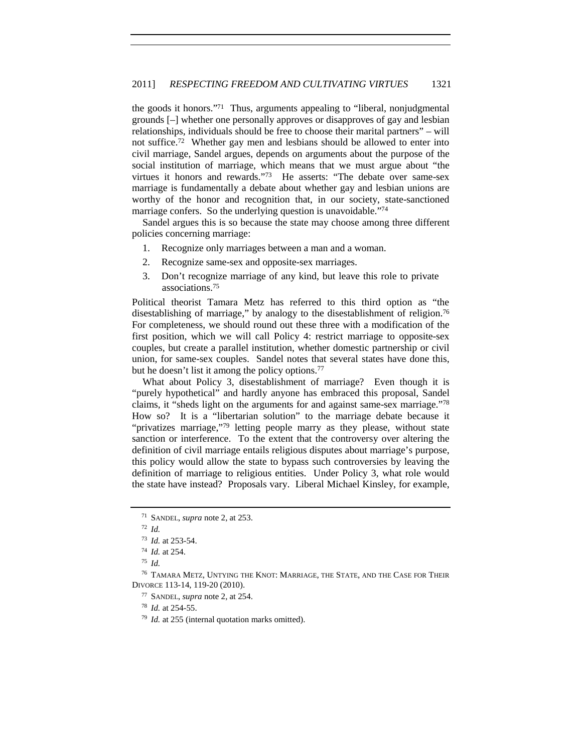the goods it honors."71 Thus, arguments appealing to "liberal, nonjudgmental grounds [–] whether one personally approves or disapproves of gay and lesbian relationships, individuals should be free to choose their marital partners" – will not suffice.72 Whether gay men and lesbians should be allowed to enter into civil marriage, Sandel argues, depends on arguments about the purpose of the social institution of marriage, which means that we must argue about "the virtues it honors and rewards."73 He asserts: "The debate over same-sex marriage is fundamentally a debate about whether gay and lesbian unions are worthy of the honor and recognition that, in our society, state-sanctioned marriage confers. So the underlying question is unavoidable."<sup>74</sup>

Sandel argues this is so because the state may choose among three different policies concerning marriage:

- 1. Recognize only marriages between a man and a woman.
- 2. Recognize same-sex and opposite-sex marriages.
- 3. Don't recognize marriage of any kind, but leave this role to private associations.75

Political theorist Tamara Metz has referred to this third option as "the disestablishing of marriage," by analogy to the disestablishment of religion.<sup>76</sup> For completeness, we should round out these three with a modification of the first position, which we will call Policy 4: restrict marriage to opposite-sex couples, but create a parallel institution, whether domestic partnership or civil union, for same-sex couples. Sandel notes that several states have done this, but he doesn't list it among the policy options.<sup>77</sup>

What about Policy 3, disestablishment of marriage? Even though it is "purely hypothetical" and hardly anyone has embraced this proposal, Sandel claims, it "sheds light on the arguments for and against same-sex marriage."78 How so? It is a "libertarian solution" to the marriage debate because it "privatizes marriage,"79 letting people marry as they please, without state sanction or interference. To the extent that the controversy over altering the definition of civil marriage entails religious disputes about marriage's purpose, this policy would allow the state to bypass such controversies by leaving the definition of marriage to religious entities. Under Policy 3, what role would the state have instead? Proposals vary. Liberal Michael Kinsley, for example,

<sup>75</sup> *Id.*

<sup>77</sup> SANDEL, *supra* note 2, at 254.

<sup>78</sup> *Id.* at 254-55.

<sup>79</sup> *Id.* at 255 (internal quotation marks omitted).

<sup>71</sup> SANDEL, *supra* note 2, at 253.

<sup>72</sup> *Id.*

<sup>73</sup> *Id.* at 253-54. 74 *Id.* at 254.

<sup>76</sup> TAMARA METZ, UNTYING THE KNOT: MARRIAGE, THE STATE, AND THE CASE FOR THEIR DIVORCE 113-14, 119-20 (2010).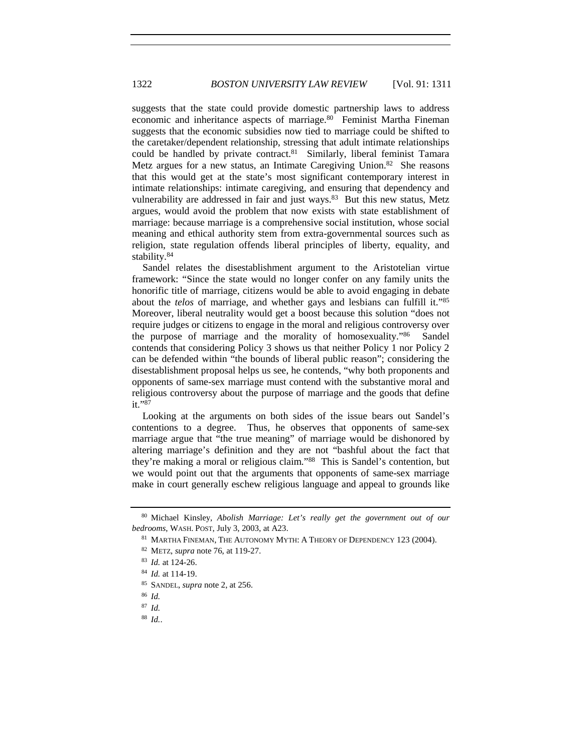suggests that the state could provide domestic partnership laws to address economic and inheritance aspects of marriage.<sup>80</sup> Feminist Martha Fineman suggests that the economic subsidies now tied to marriage could be shifted to the caretaker/dependent relationship, stressing that adult intimate relationships could be handled by private contract.<sup>81</sup> Similarly, liberal feminist Tamara Metz argues for a new status, an Intimate Caregiving Union.<sup>82</sup> She reasons that this would get at the state's most significant contemporary interest in intimate relationships: intimate caregiving, and ensuring that dependency and vulnerability are addressed in fair and just ways.<sup>83</sup> But this new status, Metz argues, would avoid the problem that now exists with state establishment of marriage: because marriage is a comprehensive social institution, whose social meaning and ethical authority stem from extra-governmental sources such as religion, state regulation offends liberal principles of liberty, equality, and stability.84

Sandel relates the disestablishment argument to the Aristotelian virtue framework: "Since the state would no longer confer on any family units the honorific title of marriage, citizens would be able to avoid engaging in debate about the *telos* of marriage, and whether gays and lesbians can fulfill it."85 Moreover, liberal neutrality would get a boost because this solution "does not require judges or citizens to engage in the moral and religious controversy over the purpose of marriage and the morality of homosexuality."86 Sandel contends that considering Policy 3 shows us that neither Policy 1 nor Policy 2 can be defended within "the bounds of liberal public reason"; considering the disestablishment proposal helps us see, he contends, "why both proponents and opponents of same-sex marriage must contend with the substantive moral and religious controversy about the purpose of marriage and the goods that define it."87

Looking at the arguments on both sides of the issue bears out Sandel's contentions to a degree. Thus, he observes that opponents of same-sex marriage argue that "the true meaning" of marriage would be dishonored by altering marriage's definition and they are not "bashful about the fact that they're making a moral or religious claim."88 This is Sandel's contention, but we would point out that the arguments that opponents of same-sex marriage make in court generally eschew religious language and appeal to grounds like

<sup>80</sup> Michael Kinsley, *Abolish Marriage: Let's really get the government out of our bedrooms*, WASH. POST, July 3, 2003, at A23.

<sup>&</sup>lt;sup>81</sup> MARTHA FINEMAN, THE AUTONOMY MYTH: A THEORY OF DEPENDENCY 123 (2004).

<sup>82</sup> METZ, *supra* note 76, at 119-27.

<sup>83</sup> *Id.* at 124-26.

<sup>84</sup> *Id.* at 114-19.

<sup>85</sup> SANDEL, *supra* note 2, at 256.

<sup>86</sup> *Id.*

<sup>87</sup> *Id.*

<sup>88</sup> *Id.*.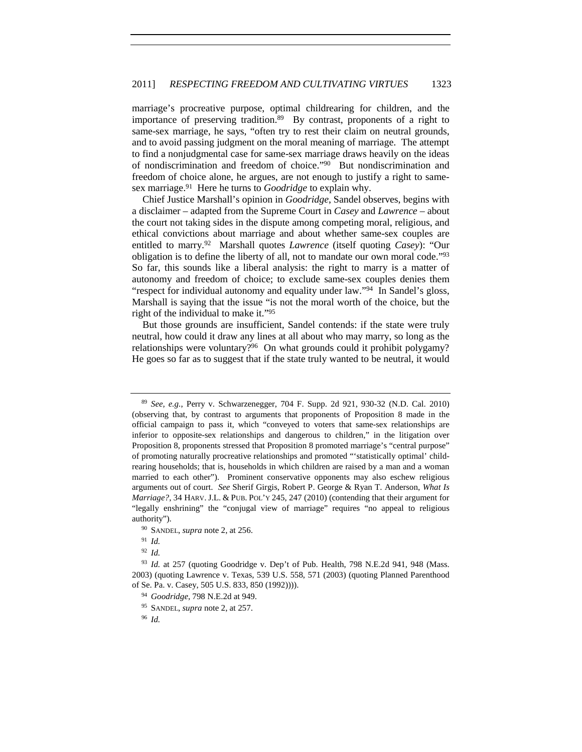marriage's procreative purpose, optimal childrearing for children, and the importance of preserving tradition.89 By contrast, proponents of a right to same-sex marriage, he says, "often try to rest their claim on neutral grounds, and to avoid passing judgment on the moral meaning of marriage. The attempt to find a nonjudgmental case for same-sex marriage draws heavily on the ideas of nondiscrimination and freedom of choice."90 But nondiscrimination and freedom of choice alone, he argues, are not enough to justify a right to samesex marriage.91 Here he turns to *Goodridge* to explain why.

Chief Justice Marshall's opinion in *Goodridge*, Sandel observes, begins with a disclaimer – adapted from the Supreme Court in *Casey* and *Lawrence* – about the court not taking sides in the dispute among competing moral, religious, and ethical convictions about marriage and about whether same-sex couples are entitled to marry.92 Marshall quotes *Lawrence* (itself quoting *Casey*): "Our obligation is to define the liberty of all, not to mandate our own moral code."93 So far, this sounds like a liberal analysis: the right to marry is a matter of autonomy and freedom of choice; to exclude same-sex couples denies them "respect for individual autonomy and equality under law."<sup>94</sup> In Sandel's gloss, Marshall is saying that the issue "is not the moral worth of the choice, but the right of the individual to make it."95

But those grounds are insufficient, Sandel contends: if the state were truly neutral, how could it draw any lines at all about who may marry, so long as the relationships were voluntary?<sup>96</sup> On what grounds could it prohibit polygamy? He goes so far as to suggest that if the state truly wanted to be neutral, it would

<sup>89</sup> *See, e.g.*, Perry v. Schwarzenegger, 704 F. Supp. 2d 921, 930-32 (N.D. Cal. 2010) (observing that, by contrast to arguments that proponents of Proposition 8 made in the official campaign to pass it, which "conveyed to voters that same-sex relationships are inferior to opposite-sex relationships and dangerous to children," in the litigation over Proposition 8, proponents stressed that Proposition 8 promoted marriage's "central purpose" of promoting naturally procreative relationships and promoted "'statistically optimal' childrearing households; that is, households in which children are raised by a man and a woman married to each other"). Prominent conservative opponents may also eschew religious arguments out of court. *See* Sherif Girgis, Robert P. George & Ryan T. Anderson, *What Is Marriage?*, 34 HARV. J.L. & PUB. POL'Y 245, 247 (2010) (contending that their argument for "legally enshrining" the "conjugal view of marriage" requires "no appeal to religious authority").

<sup>90</sup> SANDEL, *supra* note 2, at 256.

<sup>91</sup> *Id.*

<sup>92</sup> *Id.*

<sup>93</sup> *Id.* at 257 (quoting Goodridge v. Dep't of Pub. Health, 798 N.E.2d 941, 948 (Mass. 2003) (quoting Lawrence v. Texas, 539 U.S. 558, 571 (2003) (quoting Planned Parenthood of Se. Pa. v. Casey, 505 U.S. 833, 850 (1992)))). 94 *Goodridge*, 798 N.E.2d at 949.

<sup>95</sup> SANDEL, *supra* note 2, at 257.

<sup>96</sup> *Id.*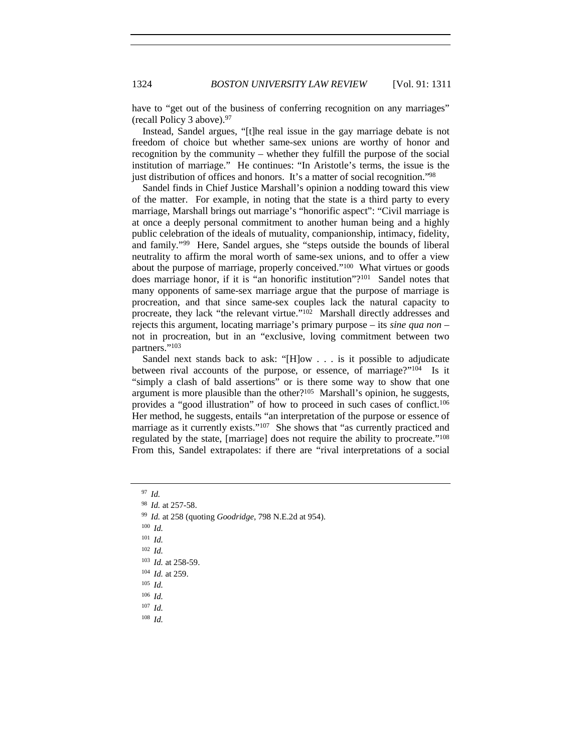have to "get out of the business of conferring recognition on any marriages" (recall Policy 3 above).97

Instead, Sandel argues, "[t]he real issue in the gay marriage debate is not freedom of choice but whether same-sex unions are worthy of honor and recognition by the community – whether they fulfill the purpose of the social institution of marriage." He continues: "In Aristotle's terms, the issue is the just distribution of offices and honors. It's a matter of social recognition."98

Sandel finds in Chief Justice Marshall's opinion a nodding toward this view of the matter. For example, in noting that the state is a third party to every marriage, Marshall brings out marriage's "honorific aspect": "Civil marriage is at once a deeply personal commitment to another human being and a highly public celebration of the ideals of mutuality, companionship, intimacy, fidelity, and family."99 Here, Sandel argues, she "steps outside the bounds of liberal neutrality to affirm the moral worth of same-sex unions, and to offer a view about the purpose of marriage, properly conceived."100 What virtues or goods does marriage honor, if it is "an honorific institution"?101 Sandel notes that many opponents of same-sex marriage argue that the purpose of marriage is procreation, and that since same-sex couples lack the natural capacity to procreate, they lack "the relevant virtue."102 Marshall directly addresses and rejects this argument, locating marriage's primary purpose – its *sine qua non* – not in procreation, but in an "exclusive, loving commitment between two partners."<sup>103</sup>

Sandel next stands back to ask: "[H]ow . . . is it possible to adjudicate between rival accounts of the purpose, or essence, of marriage?"104 Is it "simply a clash of bald assertions" or is there some way to show that one argument is more plausible than the other?<sup>105</sup> Marshall's opinion, he suggests, provides a "good illustration" of how to proceed in such cases of conflict.106 Her method, he suggests, entails "an interpretation of the purpose or essence of marriage as it currently exists."<sup>107</sup> She shows that "as currently practiced and regulated by the state, [marriage] does not require the ability to procreate."108 From this, Sandel extrapolates: if there are "rival interpretations of a social

<sup>98</sup> *Id.* at 257-58. 99 *Id.* at 258 (quoting *Goodridge*, 798 N.E.2d at 954).

<sup>100</sup> *Id.*

<sup>101</sup> *Id.*

<sup>102</sup> *Id.*

<sup>103</sup> *Id.* at 258-59.

<sup>104</sup> *Id.* at 259.

<sup>105</sup> *Id.*

<sup>106</sup> *Id.*

<sup>107</sup> *Id.*

<sup>108</sup> *Id.*

<sup>97</sup> *Id.*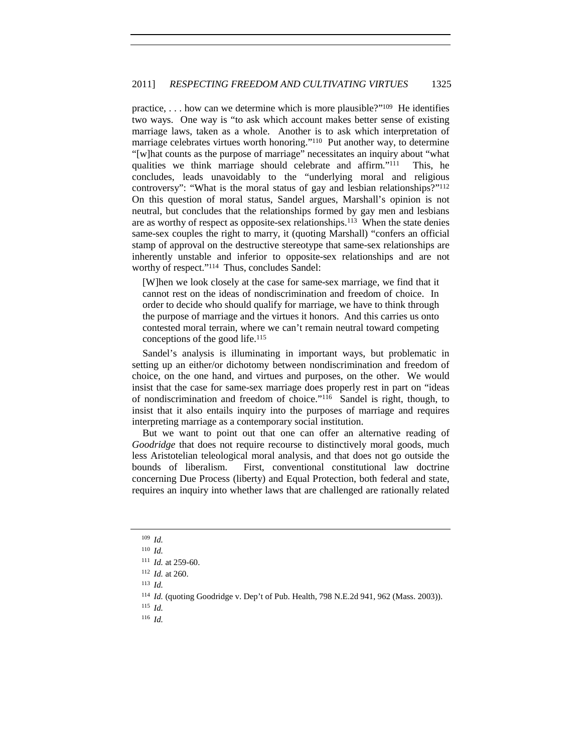practice,  $\dots$  how can we determine which is more plausible?" $109$  He identifies two ways. One way is "to ask which account makes better sense of existing marriage laws, taken as a whole. Another is to ask which interpretation of marriage celebrates virtues worth honoring."<sup>110</sup> Put another way, to determine "[w]hat counts as the purpose of marriage" necessitates an inquiry about "what qualities we think marriage should celebrate and affirm."111 This, he concludes, leads unavoidably to the "underlying moral and religious controversy": "What is the moral status of gay and lesbian relationships?"112 On this question of moral status, Sandel argues, Marshall's opinion is not neutral, but concludes that the relationships formed by gay men and lesbians are as worthy of respect as opposite-sex relationships.113 When the state denies same-sex couples the right to marry, it (quoting Marshall) "confers an official stamp of approval on the destructive stereotype that same-sex relationships are inherently unstable and inferior to opposite-sex relationships and are not worthy of respect."114 Thus, concludes Sandel:

[W]hen we look closely at the case for same-sex marriage, we find that it cannot rest on the ideas of nondiscrimination and freedom of choice. In order to decide who should qualify for marriage, we have to think through the purpose of marriage and the virtues it honors. And this carries us onto contested moral terrain, where we can't remain neutral toward competing conceptions of the good life.115

Sandel's analysis is illuminating in important ways, but problematic in setting up an either/or dichotomy between nondiscrimination and freedom of choice, on the one hand, and virtues and purposes, on the other. We would insist that the case for same-sex marriage does properly rest in part on "ideas of nondiscrimination and freedom of choice."116 Sandel is right, though, to insist that it also entails inquiry into the purposes of marriage and requires interpreting marriage as a contemporary social institution.

But we want to point out that one can offer an alternative reading of *Goodridge* that does not require recourse to distinctively moral goods, much less Aristotelian teleological moral analysis, and that does not go outside the bounds of liberalism. First, conventional constitutional law doctrine concerning Due Process (liberty) and Equal Protection, both federal and state, requires an inquiry into whether laws that are challenged are rationally related

- <sup>115</sup> *Id.*
- <sup>116</sup> *Id.*

<sup>109</sup> *Id.*

<sup>110</sup> *Id.*

<sup>111</sup> *Id.* at 259-60.

<sup>112</sup> *Id.* at 260.

<sup>113</sup> *Id.*

<sup>114</sup> *Id.* (quoting Goodridge v. Dep't of Pub. Health, 798 N.E.2d 941, 962 (Mass. 2003)).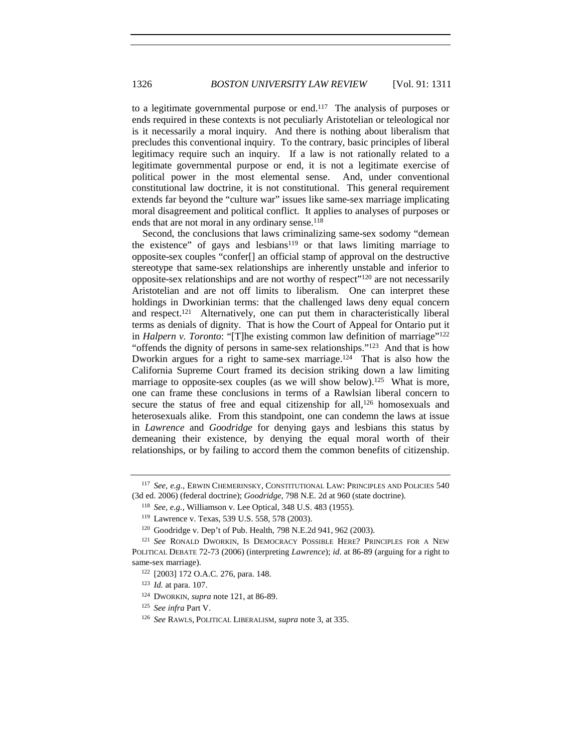to a legitimate governmental purpose or end.<sup>117</sup> The analysis of purposes or ends required in these contexts is not peculiarly Aristotelian or teleological nor is it necessarily a moral inquiry. And there is nothing about liberalism that precludes this conventional inquiry. To the contrary, basic principles of liberal legitimacy require such an inquiry. If a law is not rationally related to a legitimate governmental purpose or end, it is not a legitimate exercise of political power in the most elemental sense. And, under conventional constitutional law doctrine, it is not constitutional. This general requirement extends far beyond the "culture war" issues like same-sex marriage implicating moral disagreement and political conflict. It applies to analyses of purposes or ends that are not moral in any ordinary sense.<sup>118</sup>

Second, the conclusions that laws criminalizing same-sex sodomy "demean the existence" of gays and lesbians<sup>119</sup> or that laws limiting marriage to opposite-sex couples "confer[] an official stamp of approval on the destructive stereotype that same-sex relationships are inherently unstable and inferior to opposite-sex relationships and are not worthy of respect"120 are not necessarily Aristotelian and are not off limits to liberalism. One can interpret these holdings in Dworkinian terms: that the challenged laws deny equal concern and respect.121 Alternatively, one can put them in characteristically liberal terms as denials of dignity. That is how the Court of Appeal for Ontario put it in *Halpern v. Toronto*: "[T]he existing common law definition of marriage"122 "offends the dignity of persons in same-sex relationships."123 And that is how Dworkin argues for a right to same-sex marriage.<sup>124</sup> That is also how the California Supreme Court framed its decision striking down a law limiting marriage to opposite-sex couples (as we will show below).<sup>125</sup> What is more, one can frame these conclusions in terms of a Rawlsian liberal concern to secure the status of free and equal citizenship for all,<sup>126</sup> homosexuals and heterosexuals alike. From this standpoint, one can condemn the laws at issue in *Lawrence* and *Goodridge* for denying gays and lesbians this status by demeaning their existence, by denying the equal moral worth of their relationships, or by failing to accord them the common benefits of citizenship.

<sup>117</sup> *See, e.g.*, ERWIN CHEMERINSKY, CONSTITUTIONAL LAW: PRINCIPLES AND POLICIES 540 (3d ed. 2006) (federal doctrine); *Goodridge*, 798 N.E. 2d at 960 (state doctrine).

<sup>118</sup> *See, e.g.*, Williamson v. Lee Optical, 348 U.S. 483 (1955).

<sup>119</sup> Lawrence v. Texas, 539 U.S. 558, 578 (2003).

<sup>120</sup> Goodridge v. Dep't of Pub. Health, 798 N.E.2d 941, 962 (2003).

<sup>&</sup>lt;sup>121</sup> See RONALD DWORKIN, IS DEMOCRACY POSSIBLE HERE? PRINCIPLES FOR A NEW POLITICAL DEBATE 72-73 (2006) (interpreting *Lawrence*); *id.* at 86-89 (arguing for a right to same-sex marriage).<br><sup>122</sup> [2003] 172 O.A.C. 276, para. 148.

<sup>123</sup> *Id.* at para. 107.

<sup>124</sup> DWORKIN, *supra* note 121, at 86-89.

<sup>125</sup> *See infra* Part V.

<sup>126</sup> *See* RAWLS, POLITICAL LIBERALISM, *supra* note 3, at 335.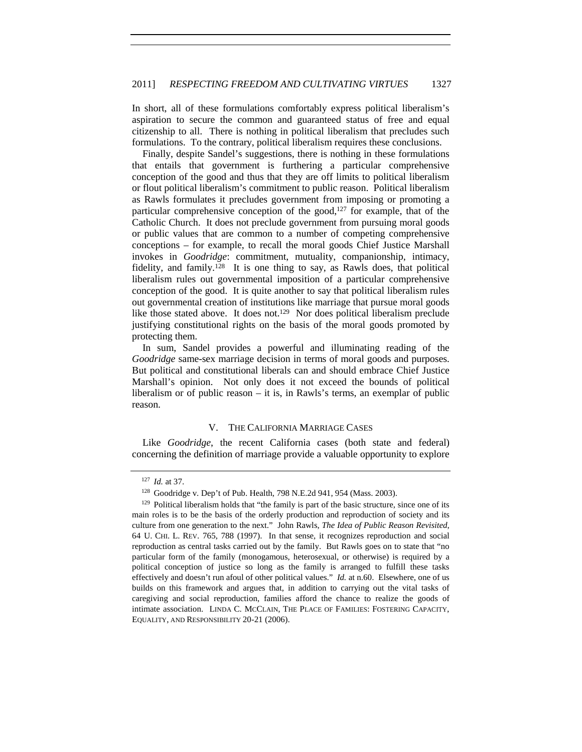In short, all of these formulations comfortably express political liberalism's aspiration to secure the common and guaranteed status of free and equal citizenship to all. There is nothing in political liberalism that precludes such formulations. To the contrary, political liberalism requires these conclusions.

Finally, despite Sandel's suggestions, there is nothing in these formulations that entails that government is furthering a particular comprehensive conception of the good and thus that they are off limits to political liberalism or flout political liberalism's commitment to public reason. Political liberalism as Rawls formulates it precludes government from imposing or promoting a particular comprehensive conception of the good, $127$  for example, that of the Catholic Church. It does not preclude government from pursuing moral goods or public values that are common to a number of competing comprehensive conceptions – for example, to recall the moral goods Chief Justice Marshall invokes in *Goodridge*: commitment, mutuality, companionship, intimacy, fidelity, and family.128 It is one thing to say, as Rawls does, that political liberalism rules out governmental imposition of a particular comprehensive conception of the good. It is quite another to say that political liberalism rules out governmental creation of institutions like marriage that pursue moral goods like those stated above. It does not.<sup>129</sup> Nor does political liberalism preclude justifying constitutional rights on the basis of the moral goods promoted by protecting them.

In sum, Sandel provides a powerful and illuminating reading of the *Goodridge* same-sex marriage decision in terms of moral goods and purposes. But political and constitutional liberals can and should embrace Chief Justice Marshall's opinion. Not only does it not exceed the bounds of political liberalism or of public reason – it is, in Rawls's terms, an exemplar of public reason.

#### V. THE CALIFORNIA MARRIAGE CASES

Like *Goodridge*, the recent California cases (both state and federal) concerning the definition of marriage provide a valuable opportunity to explore

<sup>127</sup> *Id.* at 37.

<sup>128</sup> Goodridge v. Dep't of Pub. Health, 798 N.E.2d 941, 954 (Mass. 2003).

 $129$  Political liberalism holds that "the family is part of the basic structure, since one of its main roles is to be the basis of the orderly production and reproduction of society and its culture from one generation to the next." John Rawls, *The Idea of Public Reason Revisited*, 64 U. CHI. L. REV. 765, 788 (1997). In that sense, it recognizes reproduction and social reproduction as central tasks carried out by the family. But Rawls goes on to state that "no particular form of the family (monogamous, heterosexual, or otherwise) is required by a political conception of justice so long as the family is arranged to fulfill these tasks effectively and doesn't run afoul of other political values." *Id.* at n.60. Elsewhere, one of us builds on this framework and argues that, in addition to carrying out the vital tasks of caregiving and social reproduction, families afford the chance to realize the goods of intimate association. LINDA C. MCCLAIN, THE PLACE OF FAMILIES: FOSTERING CAPACITY, EQUALITY, AND RESPONSIBILITY 20-21 (2006).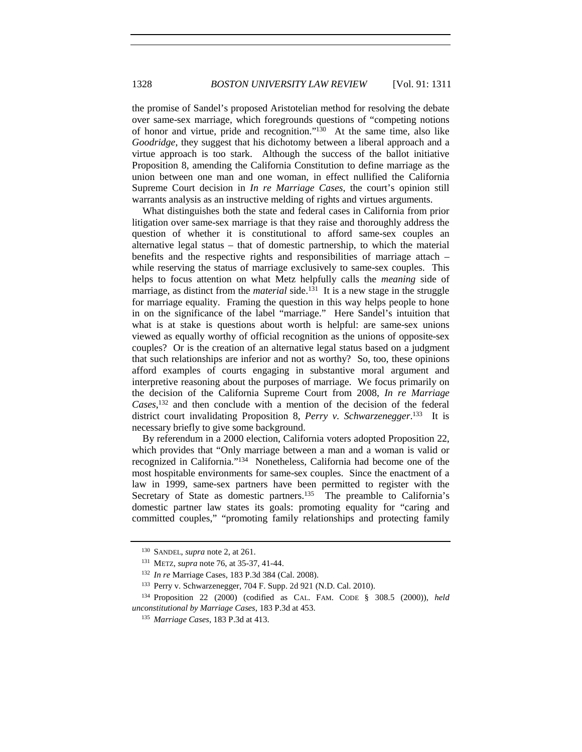the promise of Sandel's proposed Aristotelian method for resolving the debate over same-sex marriage, which foregrounds questions of "competing notions of honor and virtue, pride and recognition."130 At the same time, also like *Goodridge*, they suggest that his dichotomy between a liberal approach and a virtue approach is too stark. Although the success of the ballot initiative Proposition 8, amending the California Constitution to define marriage as the union between one man and one woman, in effect nullified the California Supreme Court decision in *In re Marriage Cases*, the court's opinion still warrants analysis as an instructive melding of rights and virtues arguments.

What distinguishes both the state and federal cases in California from prior litigation over same-sex marriage is that they raise and thoroughly address the question of whether it is constitutional to afford same-sex couples an alternative legal status – that of domestic partnership, to which the material benefits and the respective rights and responsibilities of marriage attach – while reserving the status of marriage exclusively to same-sex couples. This helps to focus attention on what Metz helpfully calls the *meaning* side of marriage, as distinct from the *material* side.<sup>131</sup> It is a new stage in the struggle for marriage equality. Framing the question in this way helps people to hone in on the significance of the label "marriage." Here Sandel's intuition that what is at stake is questions about worth is helpful: are same-sex unions viewed as equally worthy of official recognition as the unions of opposite-sex couples? Or is the creation of an alternative legal status based on a judgment that such relationships are inferior and not as worthy? So, too, these opinions afford examples of courts engaging in substantive moral argument and interpretive reasoning about the purposes of marriage. We focus primarily on the decision of the California Supreme Court from 2008, *In re Marriage Cases*, 132 and then conclude with a mention of the decision of the federal district court invalidating Proposition 8, *Perry v. Schwarzenegger*. 133 It is necessary briefly to give some background.

By referendum in a 2000 election, California voters adopted Proposition 22, which provides that "Only marriage between a man and a woman is valid or recognized in California."134 Nonetheless, California had become one of the most hospitable environments for same-sex couples. Since the enactment of a law in 1999, same-sex partners have been permitted to register with the Secretary of State as domestic partners.<sup>135</sup> The preamble to California's domestic partner law states its goals: promoting equality for "caring and committed couples," "promoting family relationships and protecting family

<sup>130</sup> SANDEL, *supra* note 2, at 261.

<sup>131</sup> METZ, *supra* note 76, at 35-37, 41-44.

<sup>132</sup> *In re* Marriage Cases, 183 P.3d 384 (Cal. 2008). 133 Perry v. Schwarzenegger, 704 F. Supp. 2d 921 (N.D. Cal. 2010).

<sup>134</sup> Proposition 22 (2000) (codified as CAL. FAM. CODE § 308.5 (2000)), *held unconstitutional by Marriage Cases*, 183 P.3d at 453.

<sup>135</sup> *Marriage Cases*, 183 P.3d at 413.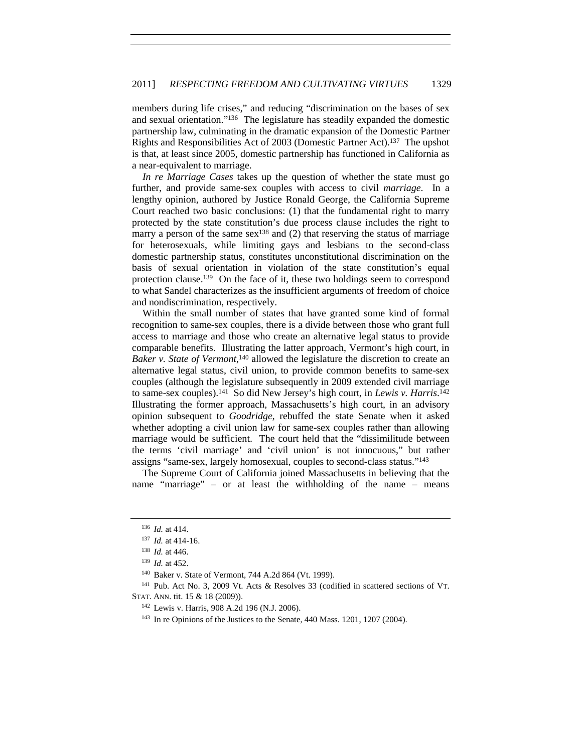members during life crises," and reducing "discrimination on the bases of sex and sexual orientation."136 The legislature has steadily expanded the domestic partnership law, culminating in the dramatic expansion of the Domestic Partner Rights and Responsibilities Act of 2003 (Domestic Partner Act).137 The upshot is that, at least since 2005, domestic partnership has functioned in California as a near-equivalent to marriage.

*In re Marriage Cases* takes up the question of whether the state must go further, and provide same-sex couples with access to civil *marriage*. In a lengthy opinion, authored by Justice Ronald George, the California Supreme Court reached two basic conclusions: (1) that the fundamental right to marry protected by the state constitution's due process clause includes the right to marry a person of the same sex<sup>138</sup> and  $(2)$  that reserving the status of marriage for heterosexuals, while limiting gays and lesbians to the second-class domestic partnership status, constitutes unconstitutional discrimination on the basis of sexual orientation in violation of the state constitution's equal protection clause.139 On the face of it, these two holdings seem to correspond to what Sandel characterizes as the insufficient arguments of freedom of choice and nondiscrimination, respectively.

Within the small number of states that have granted some kind of formal recognition to same-sex couples, there is a divide between those who grant full access to marriage and those who create an alternative legal status to provide comparable benefits. Illustrating the latter approach, Vermont's high court, in Baker v. State of Vermont,<sup>140</sup> allowed the legislature the discretion to create an alternative legal status, civil union, to provide common benefits to same-sex couples (although the legislature subsequently in 2009 extended civil marriage to same-sex couples).141 So did New Jersey's high court, in *Lewis v. Harris*. 142 Illustrating the former approach, Massachusetts's high court, in an advisory opinion subsequent to *Goodridge*, rebuffed the state Senate when it asked whether adopting a civil union law for same-sex couples rather than allowing marriage would be sufficient. The court held that the "dissimilitude between the terms 'civil marriage' and 'civil union' is not innocuous," but rather assigns "same-sex, largely homosexual, couples to second-class status."143

The Supreme Court of California joined Massachusetts in believing that the name "marriage" – or at least the withholding of the name – means

<sup>136</sup> *Id.* at 414.

<sup>137</sup> *Id.* at 414-16. 138 *Id.* at 446.

<sup>139</sup> *Id.* at 452.

<sup>&</sup>lt;sup>140</sup> Baker v. State of Vermont, 744 A.2d 864 (Vt. 1999).<br><sup>141</sup> Pub. Act No. 3, 2009 Vt. Acts & Resolves 33 (codified in scattered sections of VT. STAT. ANN. tit. 15 & 18 (2009)).

<sup>142</sup> Lewis v. Harris, 908 A.2d 196 (N.J. 2006).

<sup>143</sup> In re Opinions of the Justices to the Senate, 440 Mass. 1201, 1207 (2004).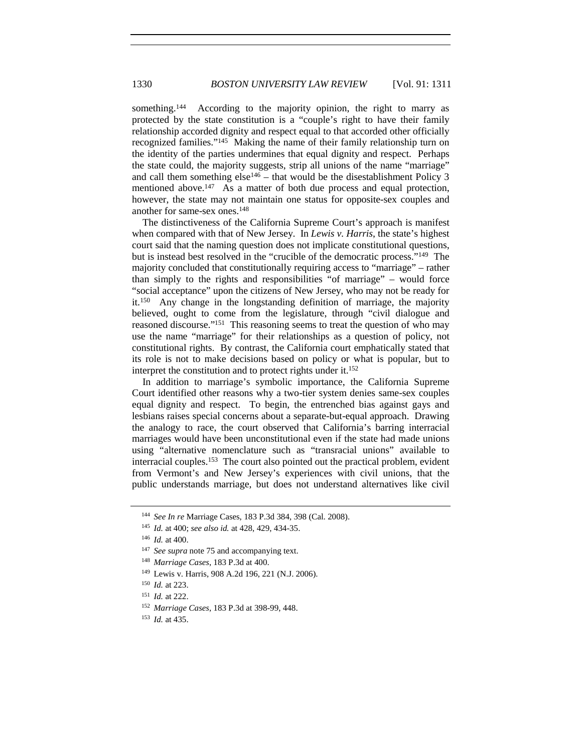something.<sup>144</sup> According to the majority opinion, the right to marry as protected by the state constitution is a "couple's right to have their family relationship accorded dignity and respect equal to that accorded other officially recognized families."145 Making the name of their family relationship turn on the identity of the parties undermines that equal dignity and respect. Perhaps the state could, the majority suggests, strip all unions of the name "marriage" and call them something  $else^{146} - that would be the disestablishment Policy 3$ mentioned above.<sup>147</sup> As a matter of both due process and equal protection, however, the state may not maintain one status for opposite-sex couples and another for same-sex ones.148

The distinctiveness of the California Supreme Court's approach is manifest when compared with that of New Jersey. In *Lewis v. Harris*, the state's highest court said that the naming question does not implicate constitutional questions, but is instead best resolved in the "crucible of the democratic process."149 The majority concluded that constitutionally requiring access to "marriage" – rather than simply to the rights and responsibilities "of marriage" – would force "social acceptance" upon the citizens of New Jersey, who may not be ready for it.150 Any change in the longstanding definition of marriage, the majority believed, ought to come from the legislature, through "civil dialogue and reasoned discourse."151 This reasoning seems to treat the question of who may use the name "marriage" for their relationships as a question of policy, not constitutional rights. By contrast, the California court emphatically stated that its role is not to make decisions based on policy or what is popular, but to interpret the constitution and to protect rights under it.152

In addition to marriage's symbolic importance, the California Supreme Court identified other reasons why a two-tier system denies same-sex couples equal dignity and respect. To begin, the entrenched bias against gays and lesbians raises special concerns about a separate-but-equal approach. Drawing the analogy to race, the court observed that California's barring interracial marriages would have been unconstitutional even if the state had made unions using "alternative nomenclature such as "transracial unions" available to interracial couples.153 The court also pointed out the practical problem, evident from Vermont's and New Jersey's experiences with civil unions, that the public understands marriage, but does not understand alternatives like civil

<sup>144</sup> *See In re* Marriage Cases, 183 P.3d 384, 398 (Cal. 2008).

<sup>145</sup> *Id.* at 400; *see also id.* at 428, 429, 434-35.

<sup>146</sup> *Id.* at 400.

<sup>&</sup>lt;sup>147</sup> *See supra* note 75 and accompanying text.

<sup>148</sup> *Marriage Cases*, 183 P.3d at 400.

<sup>149</sup> Lewis v. Harris, 908 A.2d 196, 221 (N.J. 2006).

<sup>150</sup> *Id.* at 223.

<sup>151</sup> *Id.* at 222.

<sup>152</sup> *Marriage Cases*, 183 P.3d at 398-99, 448.

<sup>153</sup> *Id.* at 435.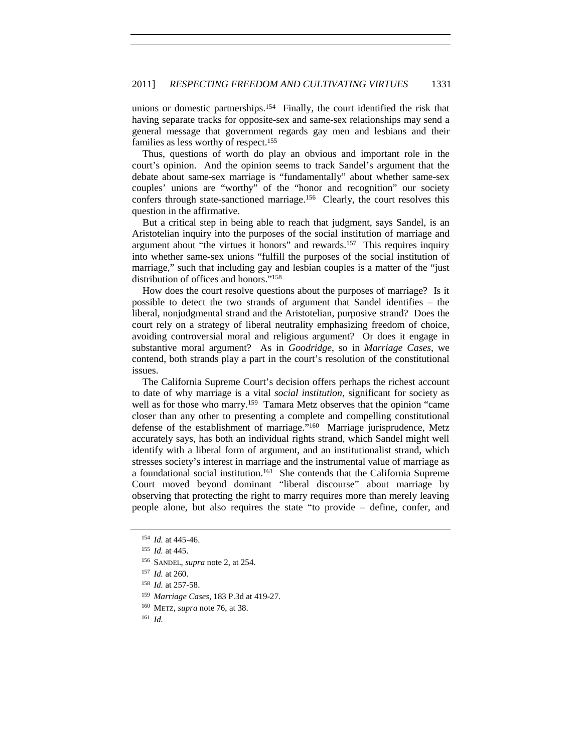unions or domestic partnerships.<sup>154</sup> Finally, the court identified the risk that having separate tracks for opposite-sex and same-sex relationships may send a general message that government regards gay men and lesbians and their families as less worthy of respect.155

Thus, questions of worth do play an obvious and important role in the court's opinion. And the opinion seems to track Sandel's argument that the debate about same-sex marriage is "fundamentally" about whether same-sex couples' unions are "worthy" of the "honor and recognition" our society confers through state-sanctioned marriage.156 Clearly, the court resolves this question in the affirmative.

But a critical step in being able to reach that judgment, says Sandel, is an Aristotelian inquiry into the purposes of the social institution of marriage and argument about "the virtues it honors" and rewards.<sup>157</sup> This requires inquiry into whether same-sex unions "fulfill the purposes of the social institution of marriage," such that including gay and lesbian couples is a matter of the "just distribution of offices and honors."158

How does the court resolve questions about the purposes of marriage? Is it possible to detect the two strands of argument that Sandel identifies – the liberal, nonjudgmental strand and the Aristotelian, purposive strand? Does the court rely on a strategy of liberal neutrality emphasizing freedom of choice, avoiding controversial moral and religious argument? Or does it engage in substantive moral argument? As in *Goodridge*, so in *Marriage Cases*, we contend, both strands play a part in the court's resolution of the constitutional issues.

The California Supreme Court's decision offers perhaps the richest account to date of why marriage is a vital *social institution*, significant for society as well as for those who marry.<sup>159</sup> Tamara Metz observes that the opinion "came closer than any other to presenting a complete and compelling constitutional defense of the establishment of marriage."<sup>160</sup> Marriage jurisprudence, Metz accurately says, has both an individual rights strand, which Sandel might well identify with a liberal form of argument, and an institutionalist strand, which stresses society's interest in marriage and the instrumental value of marriage as a foundational social institution.161 She contends that the California Supreme Court moved beyond dominant "liberal discourse" about marriage by observing that protecting the right to marry requires more than merely leaving people alone, but also requires the state "to provide – define, confer, and

<sup>154</sup> *Id.* at 445-46.

<sup>155</sup> *Id.* at 445.

<sup>156</sup> SANDEL, *supra* note 2, at 254.

<sup>157</sup> *Id.* at 260.

<sup>158</sup> *Id.* at 257-58.

<sup>159</sup> *Marriage Cases,* 183 P.3d at 419-27.

<sup>160</sup> METZ, *supra* note 76, at 38.

<sup>161</sup> *Id.*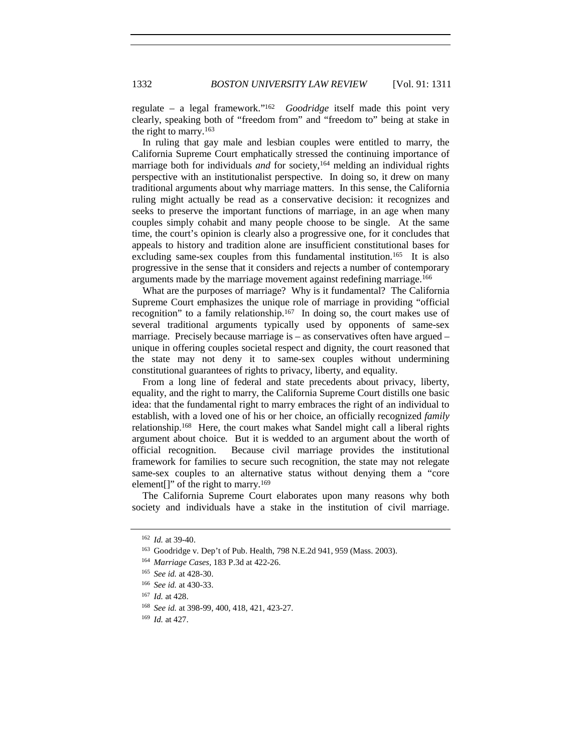regulate – a legal framework."162 *Goodridge* itself made this point very clearly, speaking both of "freedom from" and "freedom to" being at stake in the right to marry.163

In ruling that gay male and lesbian couples were entitled to marry, the California Supreme Court emphatically stressed the continuing importance of marriage both for individuals *and* for society,<sup>164</sup> melding an individual rights perspective with an institutionalist perspective. In doing so, it drew on many traditional arguments about why marriage matters. In this sense, the California ruling might actually be read as a conservative decision: it recognizes and seeks to preserve the important functions of marriage, in an age when many couples simply cohabit and many people choose to be single. At the same time, the court's opinion is clearly also a progressive one, for it concludes that appeals to history and tradition alone are insufficient constitutional bases for excluding same-sex couples from this fundamental institution.<sup>165</sup> It is also progressive in the sense that it considers and rejects a number of contemporary arguments made by the marriage movement against redefining marriage.166

What are the purposes of marriage? Why is it fundamental? The California Supreme Court emphasizes the unique role of marriage in providing "official recognition" to a family relationship.<sup>167</sup> In doing so, the court makes use of several traditional arguments typically used by opponents of same-sex marriage. Precisely because marriage is – as conservatives often have argued – unique in offering couples societal respect and dignity, the court reasoned that the state may not deny it to same-sex couples without undermining constitutional guarantees of rights to privacy, liberty, and equality.

From a long line of federal and state precedents about privacy, liberty, equality, and the right to marry, the California Supreme Court distills one basic idea: that the fundamental right to marry embraces the right of an individual to establish, with a loved one of his or her choice, an officially recognized *family* relationship.168 Here, the court makes what Sandel might call a liberal rights argument about choice. But it is wedded to an argument about the worth of official recognition. Because civil marriage provides the institutional framework for families to secure such recognition, the state may not relegate same-sex couples to an alternative status without denying them a "core element<sup>[]"</sup> of the right to marry.<sup>169</sup>

The California Supreme Court elaborates upon many reasons why both society and individuals have a stake in the institution of civil marriage.

<sup>162</sup> *Id.* at 39-40.

<sup>163</sup> Goodridge v. Dep't of Pub. Health, 798 N.E.2d 941, 959 (Mass. 2003).

<sup>164</sup> *Marriage Cases,* 183 P.3d at 422-26.

<sup>165</sup> *See id.* at 428-30.

<sup>166</sup> *See id.* at 430-33.

<sup>167</sup> *Id.* at 428.

<sup>168</sup> *See id.* at 398-99, 400, 418, 421, 423-27.

<sup>169</sup> *Id.* at 427.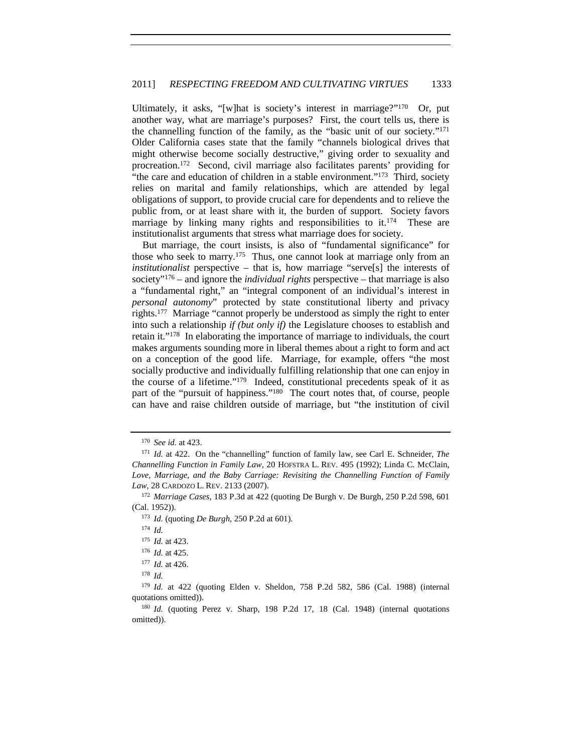Ultimately, it asks, "[w]hat is society's interest in marriage?"170 Or, put another way, what are marriage's purposes? First, the court tells us, there is the channelling function of the family, as the "basic unit of our society."171 Older California cases state that the family "channels biological drives that might otherwise become socially destructive," giving order to sexuality and procreation.172 Second, civil marriage also facilitates parents' providing for "the care and education of children in a stable environment."173 Third, society relies on marital and family relationships, which are attended by legal obligations of support, to provide crucial care for dependents and to relieve the public from, or at least share with it, the burden of support. Society favors marriage by linking many rights and responsibilities to  $it^{174}$ . These are institutionalist arguments that stress what marriage does for society.

But marriage, the court insists, is also of "fundamental significance" for those who seek to marry.175 Thus, one cannot look at marriage only from an *institutionalist* perspective – that is, how marriage "serve[s] the interests of society"176 – and ignore the *individual rights* perspective – that marriage is also a "fundamental right," an "integral component of an individual's interest in *personal autonomy*" protected by state constitutional liberty and privacy rights.177 Marriage "cannot properly be understood as simply the right to enter into such a relationship *if (but only if)* the Legislature chooses to establish and retain it."178 In elaborating the importance of marriage to individuals, the court makes arguments sounding more in liberal themes about a right to form and act on a conception of the good life. Marriage, for example, offers "the most socially productive and individually fulfilling relationship that one can enjoy in the course of a lifetime."179 Indeed, constitutional precedents speak of it as part of the "pursuit of happiness."<sup>180</sup> The court notes that, of course, people can have and raise children outside of marriage, but "the institution of civil

<sup>170</sup> *See id.* at 423.

<sup>171</sup> *Id.* at 422. On the "channelling" function of family law, see Carl E. Schneider, *The Channelling Function in Family Law*, 20 HOFSTRA L. REV. 495 (1992); Linda C. McClain, Love, Marriage, and the Baby Carriage: Revisiting the Channelling Function of Family *Law*, 28 CARDOZO L. REV. 2133 (2007).

<sup>172</sup> *Marriage Cases*, 183 P.3d at 422 (quoting De Burgh v. De Burgh, 250 P.2d 598, 601 (Cal. 1952)).

<sup>173</sup> *Id.* (quoting *De Burgh*, 250 P.2d at 601)*.*

<sup>174</sup> *Id.*

<sup>175</sup> *Id.* at 423.

<sup>176</sup> *Id.* at 425.

<sup>177</sup> *Id.* at 426.

<sup>178</sup> *Id.*

<sup>179</sup> *Id.* at 422 (quoting Elden v. Sheldon, 758 P.2d 582, 586 (Cal. 1988) (internal quotations omitted)).

<sup>180</sup> *Id.* (quoting Perez v. Sharp, 198 P.2d 17, 18 (Cal. 1948) (internal quotations omitted)).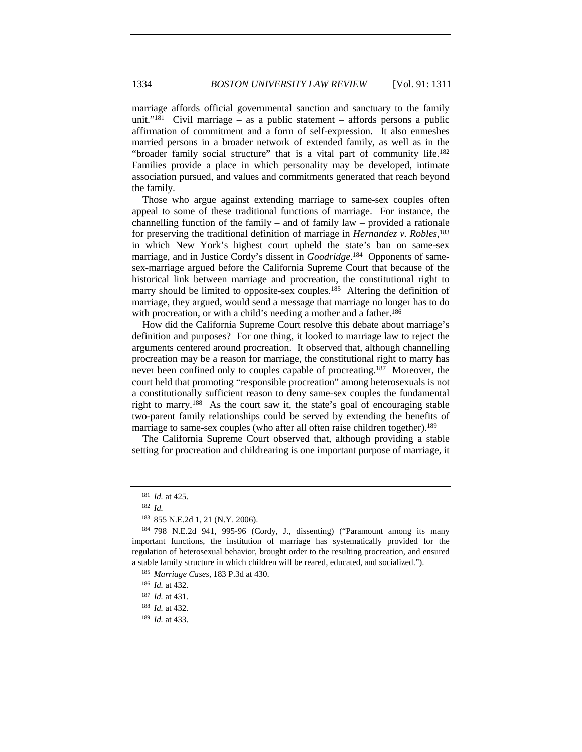marriage affords official governmental sanction and sanctuary to the family unit."<sup>181</sup> Civil marriage – as a public statement – affords persons a public affirmation of commitment and a form of self-expression. It also enmeshes married persons in a broader network of extended family, as well as in the "broader family social structure" that is a vital part of community life.<sup>182</sup> Families provide a place in which personality may be developed, intimate association pursued, and values and commitments generated that reach beyond the family.

Those who argue against extending marriage to same-sex couples often appeal to some of these traditional functions of marriage. For instance, the channelling function of the family – and of family law – provided a rationale for preserving the traditional definition of marriage in *Hernandez v. Robles*, 183 in which New York's highest court upheld the state's ban on same-sex marriage, and in Justice Cordy's dissent in *Goodridge*. 184 Opponents of samesex-marriage argued before the California Supreme Court that because of the historical link between marriage and procreation, the constitutional right to marry should be limited to opposite-sex couples.<sup>185</sup> Altering the definition of marriage, they argued, would send a message that marriage no longer has to do with procreation, or with a child's needing a mother and a father.<sup>186</sup>

How did the California Supreme Court resolve this debate about marriage's definition and purposes? For one thing, it looked to marriage law to reject the arguments centered around procreation. It observed that, although channelling procreation may be a reason for marriage, the constitutional right to marry has never been confined only to couples capable of procreating.187 Moreover, the court held that promoting "responsible procreation" among heterosexuals is not a constitutionally sufficient reason to deny same-sex couples the fundamental right to marry.188 As the court saw it, the state's goal of encouraging stable two-parent family relationships could be served by extending the benefits of marriage to same-sex couples (who after all often raise children together).<sup>189</sup>

The California Supreme Court observed that, although providing a stable setting for procreation and childrearing is one important purpose of marriage, it

<sup>181</sup> *Id.* at 425.

<sup>182</sup> *Id.*

<sup>183</sup> 855 N.E.2d 1, 21 (N.Y. 2006).

<sup>184</sup> 798 N.E.2d 941, 995-96 (Cordy, J., dissenting) ("Paramount among its many important functions, the institution of marriage has systematically provided for the regulation of heterosexual behavior, brought order to the resulting procreation, and ensured a stable family structure in which children will be reared, educated, and socialized."). 185 *Marriage Cases,* 183 P.3d at 430.

<sup>186</sup> *Id.* at 432.

<sup>187</sup> *Id.* at 431.

<sup>188</sup> *Id.* at 432.

<sup>189</sup> *Id.* at 433.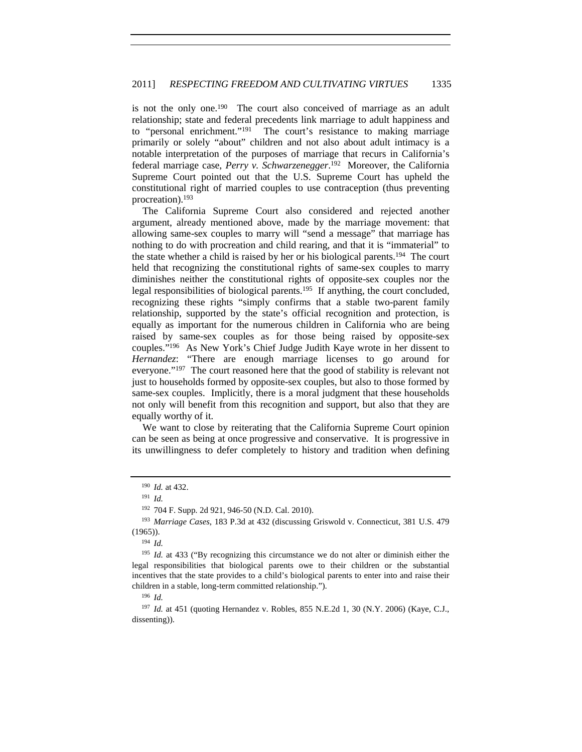is not the only one.<sup>190</sup> The court also conceived of marriage as an adult relationship; state and federal precedents link marriage to adult happiness and to "personal enrichment."191 The court's resistance to making marriage primarily or solely "about" children and not also about adult intimacy is a notable interpretation of the purposes of marriage that recurs in California's federal marriage case, *Perry v. Schwarzenegger*. 192 Moreover, the California Supreme Court pointed out that the U.S. Supreme Court has upheld the constitutional right of married couples to use contraception (thus preventing procreation).193

The California Supreme Court also considered and rejected another argument, already mentioned above, made by the marriage movement: that allowing same-sex couples to marry will "send a message" that marriage has nothing to do with procreation and child rearing, and that it is "immaterial" to the state whether a child is raised by her or his biological parents.194 The court held that recognizing the constitutional rights of same-sex couples to marry diminishes neither the constitutional rights of opposite-sex couples nor the legal responsibilities of biological parents.195 If anything, the court concluded, recognizing these rights "simply confirms that a stable two-parent family relationship, supported by the state's official recognition and protection, is equally as important for the numerous children in California who are being raised by same-sex couples as for those being raised by opposite-sex couples."196 As New York's Chief Judge Judith Kaye wrote in her dissent to *Hernandez*: "There are enough marriage licenses to go around for everyone."197 The court reasoned here that the good of stability is relevant not just to households formed by opposite-sex couples, but also to those formed by same-sex couples. Implicitly, there is a moral judgment that these households not only will benefit from this recognition and support, but also that they are equally worthy of it.

We want to close by reiterating that the California Supreme Court opinion can be seen as being at once progressive and conservative. It is progressive in its unwillingness to defer completely to history and tradition when defining

<sup>192</sup> 704 F. Supp. 2d 921, 946-50 (N.D. Cal. 2010).

<sup>194</sup> *Id.*

<sup>196</sup> *Id.*

<sup>197</sup> *Id.* at 451 (quoting Hernandez v. Robles, 855 N.E.2d 1, 30 (N.Y. 2006) (Kaye, C.J., dissenting)).

<sup>190</sup> *Id.* at 432.

<sup>191</sup> *Id.*

<sup>193</sup> *Marriage Cases*, 183 P.3d at 432 (discussing Griswold v. Connecticut, 381 U.S. 479 (1965)).

<sup>&</sup>lt;sup>195</sup> *Id.* at 433 ("By recognizing this circumstance we do not alter or diminish either the legal responsibilities that biological parents owe to their children or the substantial incentives that the state provides to a child's biological parents to enter into and raise their children in a stable, long-term committed relationship.").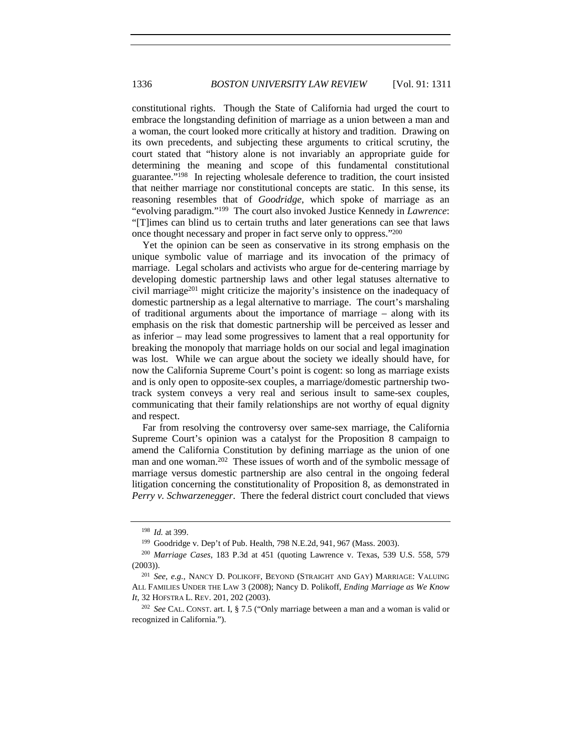constitutional rights. Though the State of California had urged the court to embrace the longstanding definition of marriage as a union between a man and a woman, the court looked more critically at history and tradition. Drawing on its own precedents, and subjecting these arguments to critical scrutiny, the court stated that "history alone is not invariably an appropriate guide for determining the meaning and scope of this fundamental constitutional guarantee."198 In rejecting wholesale deference to tradition, the court insisted that neither marriage nor constitutional concepts are static. In this sense, its reasoning resembles that of *Goodridge*, which spoke of marriage as an "evolving paradigm."199 The court also invoked Justice Kennedy in *Lawrence*: "[T]imes can blind us to certain truths and later generations can see that laws once thought necessary and proper in fact serve only to oppress."200

Yet the opinion can be seen as conservative in its strong emphasis on the unique symbolic value of marriage and its invocation of the primacy of marriage. Legal scholars and activists who argue for de-centering marriage by developing domestic partnership laws and other legal statuses alternative to civil marriage201 might criticize the majority's insistence on the inadequacy of domestic partnership as a legal alternative to marriage. The court's marshaling of traditional arguments about the importance of marriage – along with its emphasis on the risk that domestic partnership will be perceived as lesser and as inferior – may lead some progressives to lament that a real opportunity for breaking the monopoly that marriage holds on our social and legal imagination was lost. While we can argue about the society we ideally should have, for now the California Supreme Court's point is cogent: so long as marriage exists and is only open to opposite-sex couples, a marriage/domestic partnership twotrack system conveys a very real and serious insult to same-sex couples, communicating that their family relationships are not worthy of equal dignity and respect.

Far from resolving the controversy over same-sex marriage, the California Supreme Court's opinion was a catalyst for the Proposition 8 campaign to amend the California Constitution by defining marriage as the union of one man and one woman.<sup>202</sup> These issues of worth and of the symbolic message of marriage versus domestic partnership are also central in the ongoing federal litigation concerning the constitutionality of Proposition 8, as demonstrated in *Perry v. Schwarzenegger*. There the federal district court concluded that views

<sup>198</sup> *Id.* at 399.

<sup>199</sup> Goodridge v. Dep't of Pub. Health, 798 N.E.2d, 941, 967 (Mass. 2003).

<sup>200</sup> *Marriage Cases*, 183 P.3d at 451 (quoting Lawrence v. Texas, 539 U.S. 558, 579 (2003)).

<sup>201</sup> *See, e.g.*, NANCY D. POLIKOFF, BEYOND (STRAIGHT AND GAY) MARRIAGE: VALUING ALL FAMILIES UNDER THE LAW 3 (2008); Nancy D. Polikoff, *Ending Marriage as We Know It*, 32 HOFSTRA L. REV. 201, 202 (2003).

<sup>202</sup> *See* CAL. CONST. art. I, § 7.5 ("Only marriage between a man and a woman is valid or recognized in California.").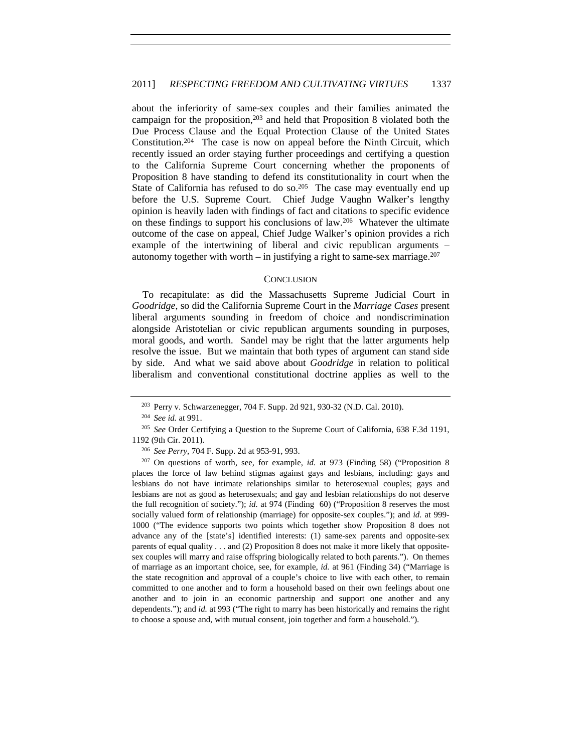about the inferiority of same-sex couples and their families animated the campaign for the proposition,203 and held that Proposition 8 violated both the Due Process Clause and the Equal Protection Clause of the United States Constitution.<sup>204</sup> The case is now on appeal before the Ninth Circuit, which recently issued an order staying further proceedings and certifying a question to the California Supreme Court concerning whether the proponents of Proposition 8 have standing to defend its constitutionality in court when the State of California has refused to do so.<sup>205</sup> The case may eventually end up before the U.S. Supreme Court. Chief Judge Vaughn Walker's lengthy opinion is heavily laden with findings of fact and citations to specific evidence on these findings to support his conclusions of law.206 Whatever the ultimate outcome of the case on appeal, Chief Judge Walker's opinion provides a rich example of the intertwining of liberal and civic republican arguments – autonomy together with worth – in justifying a right to same-sex marriage.<sup>207</sup>

#### **CONCLUSION**

To recapitulate: as did the Massachusetts Supreme Judicial Court in *Goodridge*, so did the California Supreme Court in the *Marriage Cases* present liberal arguments sounding in freedom of choice and nondiscrimination alongside Aristotelian or civic republican arguments sounding in purposes, moral goods, and worth. Sandel may be right that the latter arguments help resolve the issue. But we maintain that both types of argument can stand side by side. And what we said above about *Goodridge* in relation to political liberalism and conventional constitutional doctrine applies as well to the

<sup>203</sup> Perry v. Schwarzenegger, 704 F. Supp. 2d 921, 930-32 (N.D. Cal. 2010).

<sup>204</sup> *See id.* at 991.

<sup>205</sup> *See* Order Certifying a Question to the Supreme Court of California, 638 F.3d 1191, 1192 (9th Cir. 2011).

<sup>206</sup> *See Perry*, 704 F. Supp. 2d at 953-91, 993.

<sup>207</sup> On questions of worth, see, for example, *id.* at 973 (Finding 58) ("Proposition 8 places the force of law behind stigmas against gays and lesbians, including: gays and lesbians do not have intimate relationships similar to heterosexual couples; gays and lesbians are not as good as heterosexuals; and gay and lesbian relationships do not deserve the full recognition of society."); *id.* at 974 (Finding 60) ("Proposition 8 reserves the most socially valued form of relationship (marriage) for opposite-sex couples."); and *id.* at 999- 1000 ("The evidence supports two points which together show Proposition 8 does not advance any of the [state's] identified interests: (1) same-sex parents and opposite-sex parents of equal quality . . . and (2) Proposition 8 does not make it more likely that oppositesex couples will marry and raise offspring biologically related to both parents."). On themes of marriage as an important choice, see, for example, *id.* at 961 (Finding 34) ("Marriage is the state recognition and approval of a couple's choice to live with each other, to remain committed to one another and to form a household based on their own feelings about one another and to join in an economic partnership and support one another and any dependents."); and *id.* at 993 ("The right to marry has been historically and remains the right to choose a spouse and, with mutual consent, join together and form a household.").